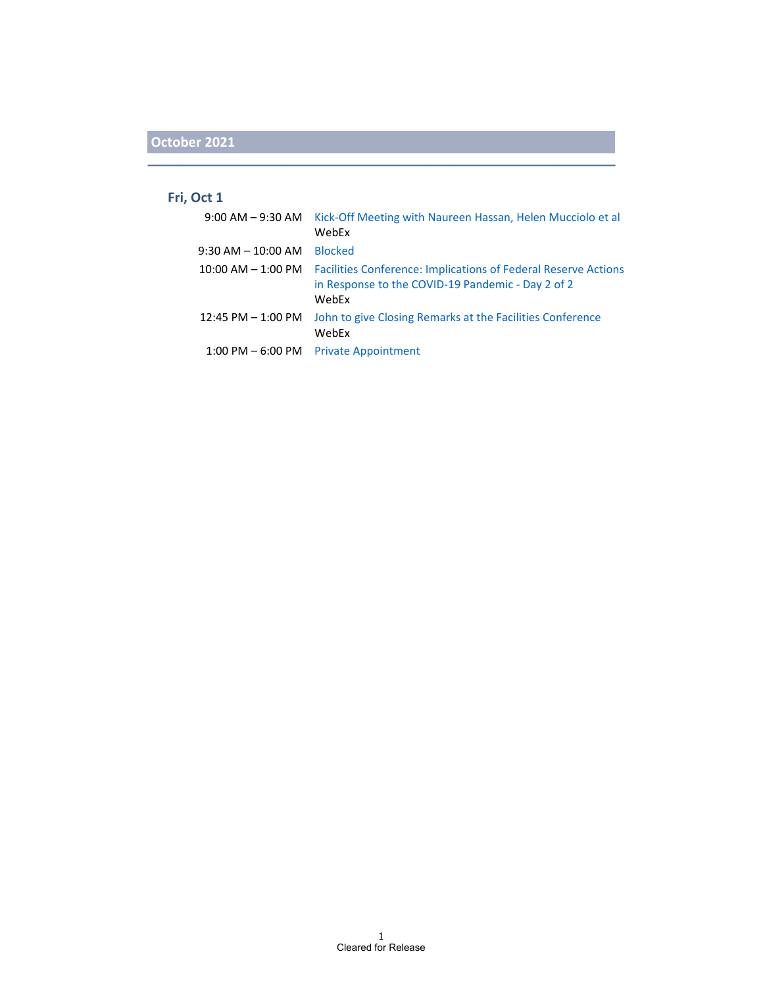### **Fri, Oct 1**

| $9:00$ AM $ 9:30$ AM   | Kick-Off Meeting with Naureen Hassan, Helen Mucciolo et al<br>WebEx                                                                 |
|------------------------|-------------------------------------------------------------------------------------------------------------------------------------|
| $9:30$ AM $- 10:00$ AM | <b>Blocked</b>                                                                                                                      |
| $10:00$ AM $-$ 1:00 PM | <b>Facilities Conference: Implications of Federal Reserve Actions</b><br>in Response to the COVID-19 Pandemic - Day 2 of 2<br>WebEx |
| $12:45$ PM $-1:00$ PM  | John to give Closing Remarks at the Facilities Conference<br>WebEx                                                                  |
|                        | 1:00 PM - 6:00 PM Private Appointment                                                                                               |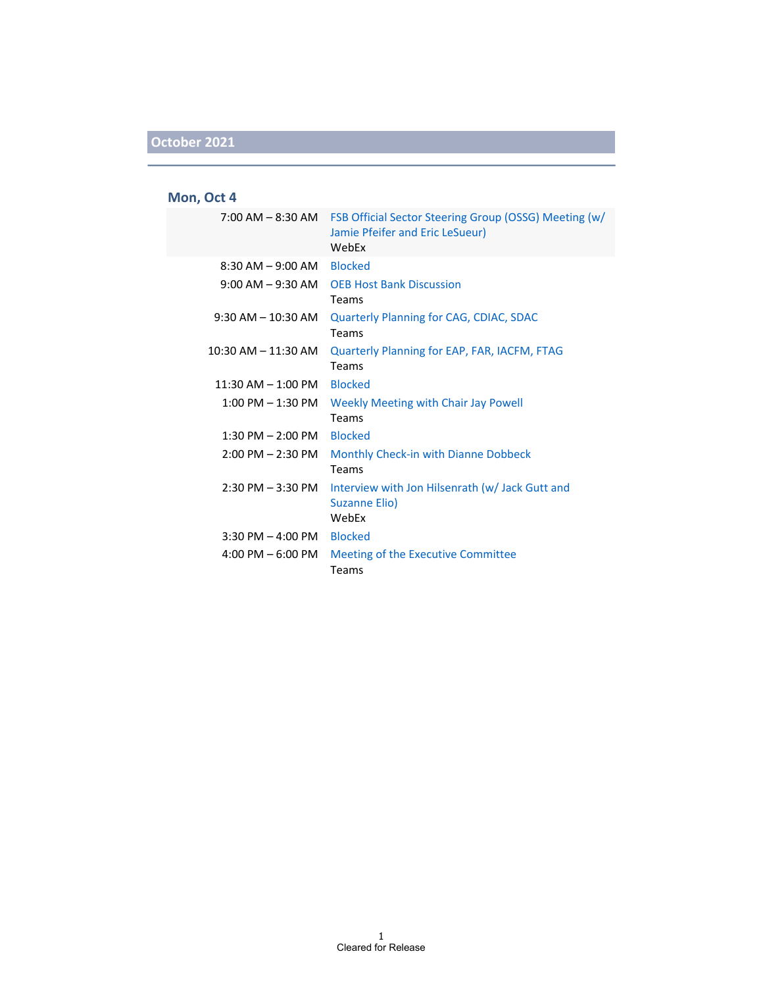### **Mon, Oct 4**

|                                     | 7:00 AM - 8:30 AM FSB Official Sector Steering Group (OSSG) Meeting (w/<br>Jamie Pfeifer and Eric LeSueur)<br>WebEx |
|-------------------------------------|---------------------------------------------------------------------------------------------------------------------|
| 8:30 AM – 9:00 AM                   | <b>Blocked</b>                                                                                                      |
|                                     | 9:00 AM - 9:30 AM OEB Host Bank Discussion<br><b>Teams</b>                                                          |
| $9:30$ AM $-$ 10:30 AM              | Quarterly Planning for CAG, CDIAC, SDAC<br>Teams                                                                    |
| $10:30$ AM $- 11:30$ AM             | Quarterly Planning for EAP, FAR, IACFM, FTAG<br>Teams                                                               |
| $11:30$ AM $-1:00$ PM               | <b>Blocked</b>                                                                                                      |
| $1:00$ PM $-1:30$ PM                | Weekly Meeting with Chair Jay Powell<br>Teams                                                                       |
| $1:30$ PM $- 2:00$ PM               | <b>Blocked</b>                                                                                                      |
| $2:00 \text{ PM} - 2:30 \text{ PM}$ | Monthly Check-in with Dianne Dobbeck<br>Teams                                                                       |
| $2:30$ PM $-3:30$ PM                | Interview with Jon Hilsenrath (w/ Jack Gutt and<br>Suzanne Elio)<br>WebEx                                           |
| $3:30$ PM $-$ 4:00 PM               | <b>Blocked</b>                                                                                                      |
| $4:00 \text{ PM} - 6:00 \text{ PM}$ | Meeting of the Executive Committee<br>Teams                                                                         |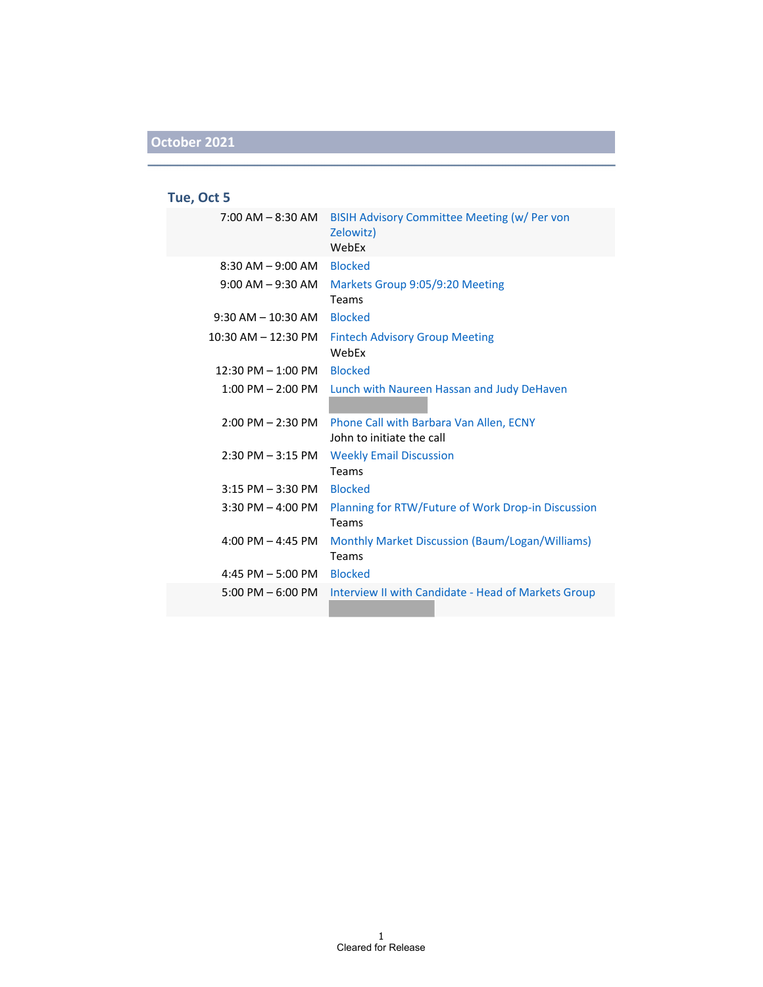### **Tue, Oct 5**

| 7:00 AM – 8:30 AM            | BISIH Advisory Committee Meeting (w/ Per von<br>Zelowitz)<br>WebEx   |
|------------------------------|----------------------------------------------------------------------|
| $8:30$ AM $-9:00$ AM         | <b>Blocked</b>                                                       |
| $9:00$ AM $ 9:30$ AM         | Markets Group 9:05/9:20 Meeting<br>Teams                             |
| $9:30$ AM $-10:30$ AM        | <b>Blocked</b>                                                       |
| $10:30$ AM $- 12:30$ PM      | <b>Fintech Advisory Group Meeting</b><br>WebEx                       |
| $12:30$ PM $-1:00$ PM        | <b>Blocked</b>                                                       |
|                              | 1:00 PM – 2:00 PM Lunch with Naureen Hassan and Judy DeHaven         |
| $2:00$ PM $- 2:30$ PM        | Phone Call with Barbara Van Allen, ECNY<br>John to initiate the call |
| $2:30$ PM $-3:15$ PM         | <b>Weekly Email Discussion</b><br>Teams                              |
| $3:15$ PM $-3:30$ PM         | <b>Blocked</b>                                                       |
| $3:30$ PM $-$ 4:00 PM        | Planning for RTW/Future of Work Drop-in Discussion<br>Teams          |
| 4:00 PM $-$ 4:45 PM          | Monthly Market Discussion (Baum/Logan/Williams)<br>Teams             |
| $4:45$ PM $-5:00$ PM Blocked |                                                                      |
| $5:00$ PM $-6:00$ PM         | Interview II with Candidate - Head of Markets Group                  |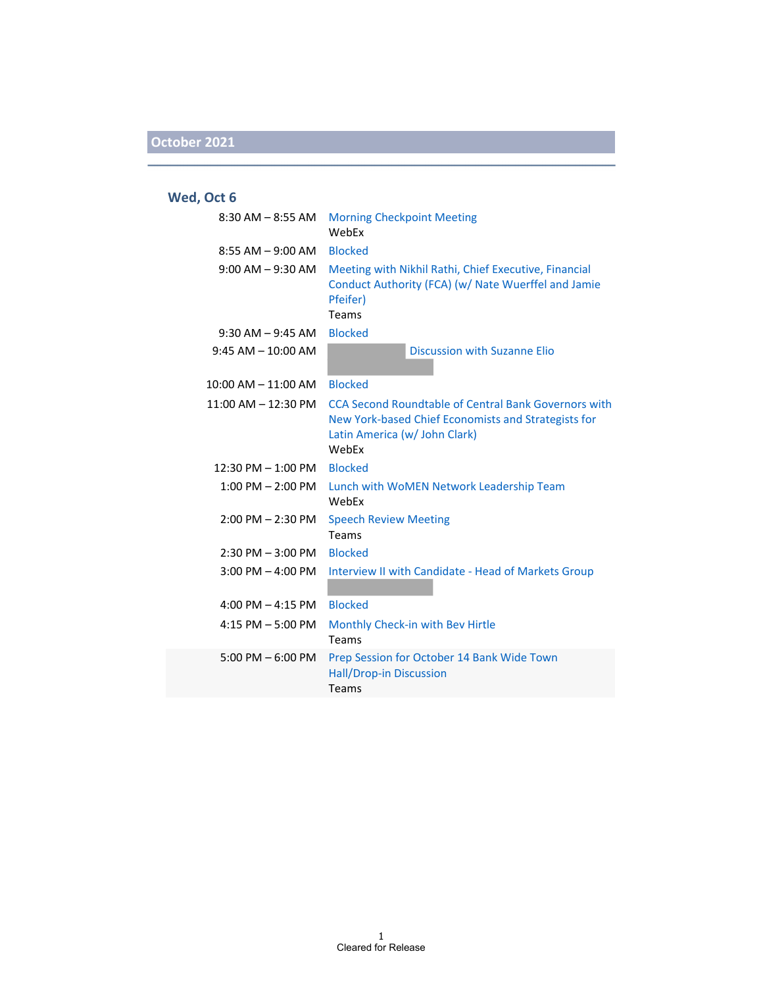### **Wed, Oct 6**

| $8:30$ AM $-$ 8:55 AM   | <b>Morning Checkpoint Meeting</b><br>WebEx                                                                                                            |
|-------------------------|-------------------------------------------------------------------------------------------------------------------------------------------------------|
| $8:55$ AM $-9:00$ AM    | <b>Blocked</b>                                                                                                                                        |
| $9:00$ AM $-9:30$ AM    | Meeting with Nikhil Rathi, Chief Executive, Financial<br>Conduct Authority (FCA) (w/ Nate Wuerffel and Jamie<br>Pfeifer)<br>Teams                     |
| $9:30$ AM $-9:45$ AM    | <b>Blocked</b>                                                                                                                                        |
| $9:45$ AM $-$ 10:00 AM  | <b>Discussion with Suzanne Elio</b>                                                                                                                   |
| $10:00$ AM $- 11:00$ AM | <b>Blocked</b>                                                                                                                                        |
| $11:00$ AM $- 12:30$ PM | CCA Second Roundtable of Central Bank Governors with<br>New York-based Chief Economists and Strategists for<br>Latin America (w/ John Clark)<br>WebEx |
| $12:30$ PM $- 1:00$ PM  | <b>Blocked</b>                                                                                                                                        |
| $1:00$ PM $- 2:00$ PM   | Lunch with WoMEN Network Leadership Team<br>WebEx                                                                                                     |
| $2:00$ PM $- 2:30$ PM   | <b>Speech Review Meeting</b><br>Teams                                                                                                                 |
| $2:30$ PM $-3:00$ PM    | <b>Blocked</b>                                                                                                                                        |
| $3:00$ PM $-$ 4:00 PM   | Interview II with Candidate - Head of Markets Group                                                                                                   |
| 4:00 PM $-$ 4:15 PM     | <b>Blocked</b>                                                                                                                                        |
| $4:15$ PM $-5:00$ PM    | Monthly Check-in with Bev Hirtle<br>Teams                                                                                                             |
| $5:00$ PM $-6:00$ PM    | Prep Session for October 14 Bank Wide Town<br><b>Hall/Drop-in Discussion</b><br>Teams                                                                 |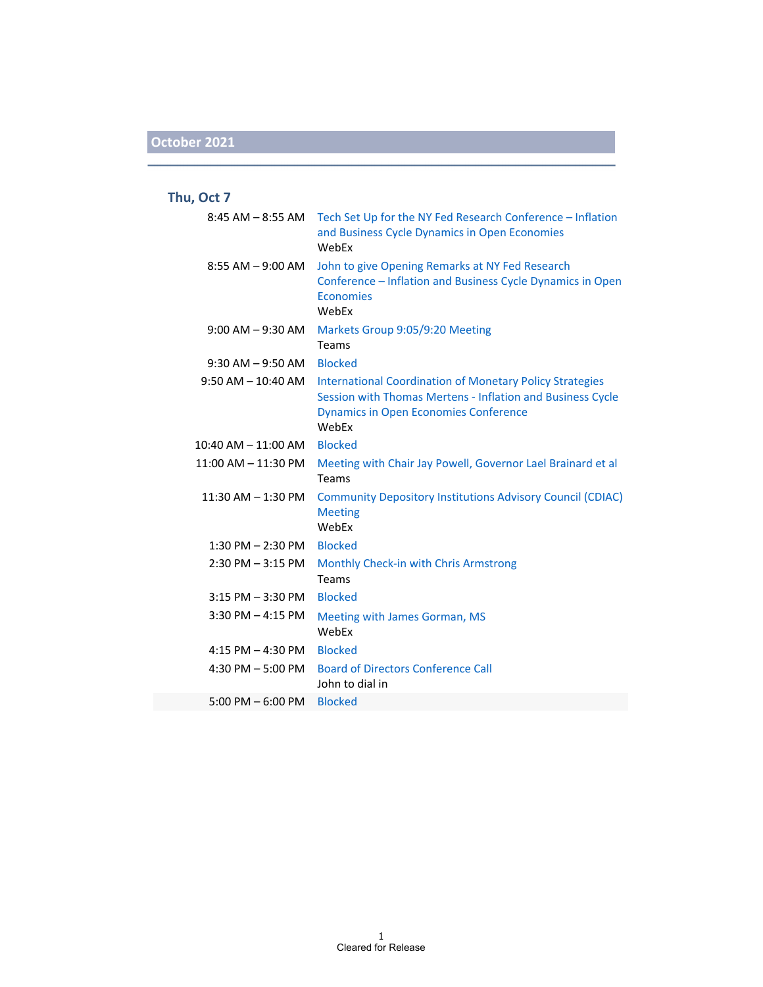### **Thu, Oct 7**

| $8:45$ AM $-8:55$ AM    | Tech Set Up for the NY Fed Research Conference - Inflation<br>and Business Cycle Dynamics in Open Economies<br>WebEx                                                                   |
|-------------------------|----------------------------------------------------------------------------------------------------------------------------------------------------------------------------------------|
| $8:55$ AM $-9:00$ AM    | John to give Opening Remarks at NY Fed Research<br>Conference - Inflation and Business Cycle Dynamics in Open<br><b>Economies</b><br>WebEx                                             |
| $9:00$ AM $-9:30$ AM    | Markets Group 9:05/9:20 Meeting                                                                                                                                                        |
|                         | Teams                                                                                                                                                                                  |
| $9:30$ AM $-9:50$ AM    | <b>Blocked</b>                                                                                                                                                                         |
| $9:50$ AM $- 10:40$ AM  | <b>International Coordination of Monetary Policy Strategies</b><br>Session with Thomas Mertens - Inflation and Business Cycle<br><b>Dynamics in Open Economies Conference</b><br>WebFx |
| $10:40$ AM $- 11:00$ AM | <b>Blocked</b>                                                                                                                                                                         |
| $11:00$ AM $- 11:30$ PM | Meeting with Chair Jay Powell, Governor Lael Brainard et al<br>Teams                                                                                                                   |
| 11:30 AM - 1:30 PM      | <b>Community Depository Institutions Advisory Council (CDIAC)</b><br><b>Meeting</b><br>WebEx                                                                                           |
| $1:30$ PM $- 2:30$ PM   | <b>Blocked</b>                                                                                                                                                                         |
| $2:30$ PM $-3:15$ PM    | Monthly Check-in with Chris Armstrong<br>Teams                                                                                                                                         |
| $3:15$ PM $-3:30$ PM    | <b>Blocked</b>                                                                                                                                                                         |
| $3:30$ PM $-4:15$ PM    | Meeting with James Gorman, MS<br>WebEx                                                                                                                                                 |
| 4:15 PM $-$ 4:30 PM     | <b>Blocked</b>                                                                                                                                                                         |
| 4:30 PM $-$ 5:00 PM     | <b>Board of Directors Conference Call</b><br>John to dial in                                                                                                                           |
| $5:00$ PM $-6:00$ PM    | <b>Blocked</b>                                                                                                                                                                         |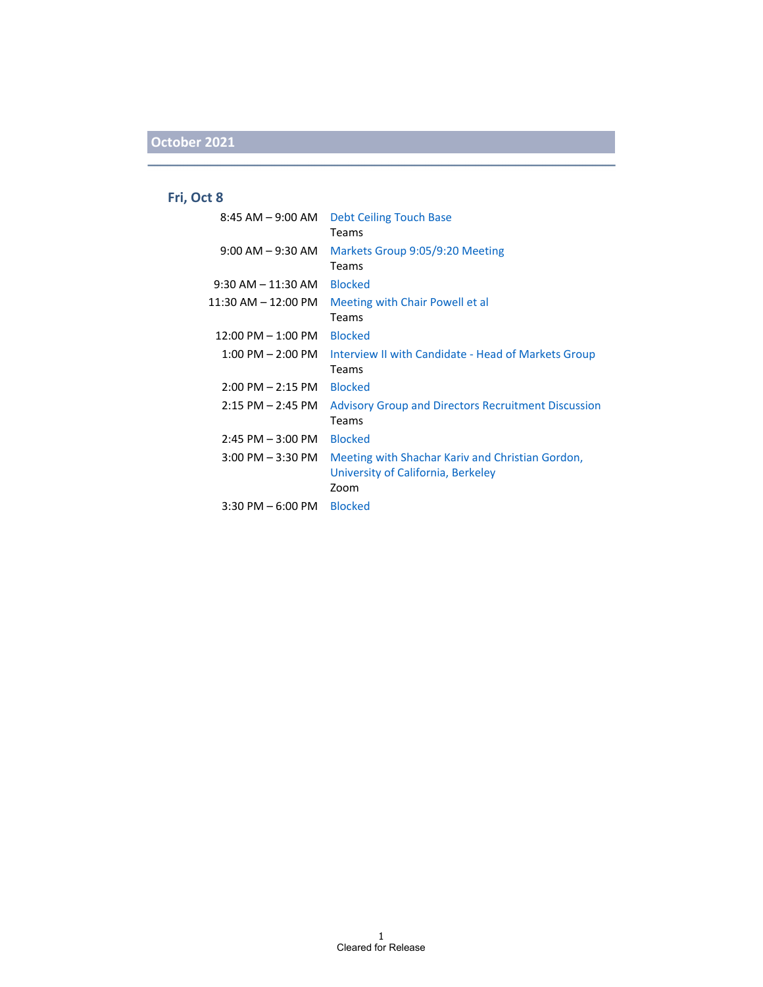### **Fri, Oct 8**

| 8:45 AM – 9:00 AM     | Debt Ceiling Touch Base                                    |
|-----------------------|------------------------------------------------------------|
|                       | Teams                                                      |
| $9:00$ AM $-9:30$ AM  | Markets Group 9:05/9:20 Meeting                            |
|                       | Teams                                                      |
| $9:30$ AM $-11:30$ AM | <b>Blocked</b>                                             |
| 11:30 AM – 12:00 PM   | Meeting with Chair Powell et al                            |
|                       | Teams                                                      |
| $12:00$ PM $-1:00$ PM | <b>Blocked</b>                                             |
| $1:00$ PM $- 2:00$ PM | Interview II with Candidate - Head of Markets Group        |
|                       | Teams                                                      |
| $2:00$ PM $- 2:15$ PM | <b>Blocked</b>                                             |
| $2:15$ PM $- 2:45$ PM | <b>Advisory Group and Directors Recruitment Discussion</b> |
|                       | Teams                                                      |
| $2:45$ PM $-3:00$ PM  | <b>Blocked</b>                                             |
| $3:00$ PM $-3:30$ PM  | Meeting with Shachar Kariv and Christian Gordon,           |
|                       | University of California, Berkeley                         |
|                       | Zoom                                                       |
| $3:30$ PM $-6:00$ PM  | <b>Blocked</b>                                             |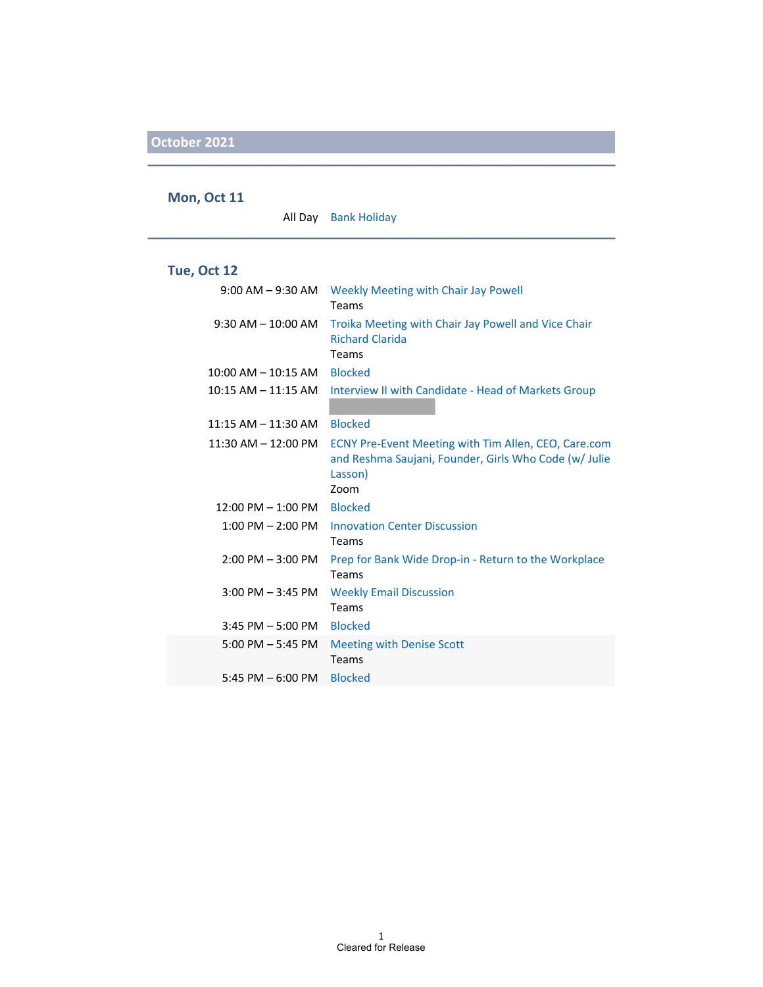#### **Mon, Oct 11**

All Day Bank Holiday

#### **Tue, Oct 12**

| $9:00$ AM $-9:30$ AM                 | <b>Weekly Meeting with Chair Jay Powell</b><br>Teams                                                                             |
|--------------------------------------|----------------------------------------------------------------------------------------------------------------------------------|
| $9:30$ AM $-10:00$ AM                | Troika Meeting with Chair Jay Powell and Vice Chair<br><b>Richard Clarida</b><br>Teams                                           |
| $10:00$ AM $-$ 10:15 AM              | <b>Blocked</b>                                                                                                                   |
| $10:15$ AM $-$ 11:15 AM              | Interview II with Candidate - Head of Markets Group                                                                              |
| $11:15$ AM $- 11:30$ AM              | <b>Blocked</b>                                                                                                                   |
| 11:30 AM - 12:00 PM                  | ECNY Pre-Event Meeting with Tim Allen, CEO, Care.com<br>and Reshma Saujani, Founder, Girls Who Code (w/ Julie<br>Lasson)<br>Zoom |
| $12:00 \text{ PM} - 1:00 \text{ PM}$ | <b>Blocked</b>                                                                                                                   |
| $1:00$ PM $- 2:00$ PM                | <b>Innovation Center Discussion</b><br>Teams                                                                                     |
| $2:00$ PM $-3:00$ PM                 | Prep for Bank Wide Drop-in - Return to the Workplace<br>Teams                                                                    |
| $3:00$ PM $-3:45$ PM                 | <b>Weekly Email Discussion</b><br>Teams                                                                                          |
| $3:45$ PM $-5:00$ PM                 | <b>Blocked</b>                                                                                                                   |
| $5:00$ PM $-5:45$ PM                 | <b>Meeting with Denise Scott</b><br>Teams                                                                                        |
| 5:45 PM $-6:00$ PM                   | <b>Blocked</b>                                                                                                                   |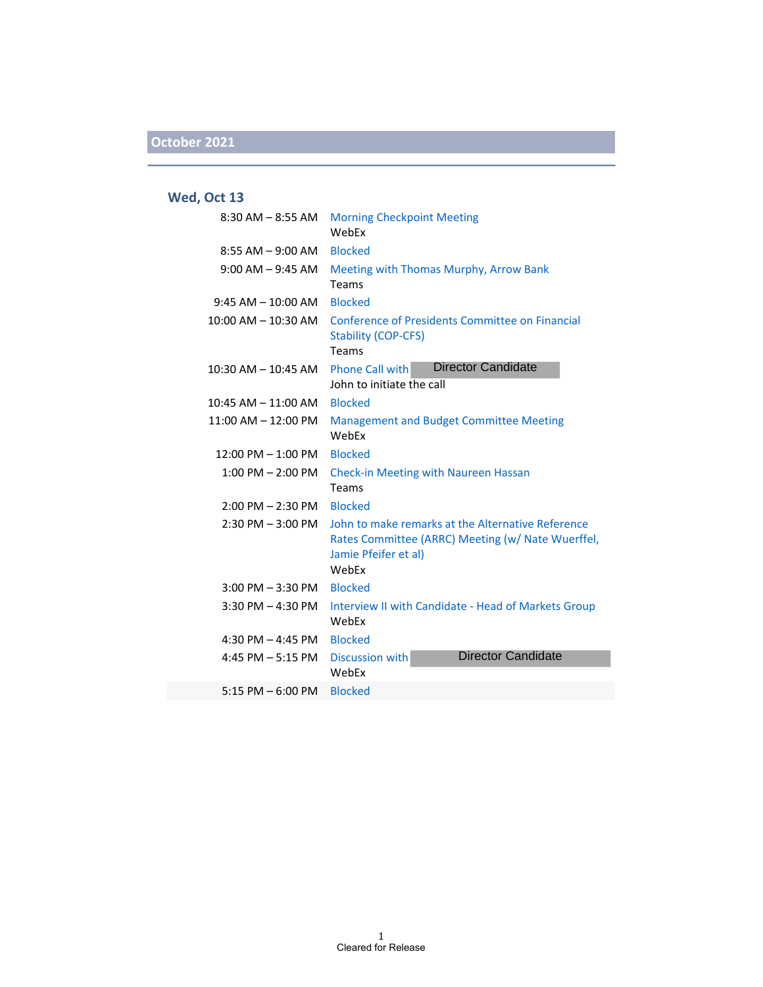### **Wed, Oct 13**

| $8:30$ AM $-8:55$ AM    | <b>Morning Checkpoint Meeting</b><br>WebFx                                                                                              |
|-------------------------|-----------------------------------------------------------------------------------------------------------------------------------------|
| $8:55$ AM $-9:00$ AM    | <b>Blocked</b>                                                                                                                          |
| $9:00$ AM $-9:45$ AM    | Meeting with Thomas Murphy, Arrow Bank<br>Teams                                                                                         |
| $9:45$ AM $- 10:00$ AM  | <b>Blocked</b>                                                                                                                          |
| $10:00$ AM $- 10:30$ AM | Conference of Presidents Committee on Financial<br><b>Stability (COP-CFS)</b><br>Teams                                                  |
| $10:30$ AM $- 10:45$ AM | <b>Director Candidate</b><br><b>Phone Call with</b>                                                                                     |
|                         | John to initiate the call                                                                                                               |
| $10:45$ AM $- 11:00$ AM | <b>Blocked</b>                                                                                                                          |
| $11:00$ AM $- 12:00$ PM | <b>Management and Budget Committee Meeting</b><br>WebFx                                                                                 |
| $12:00$ PM $- 1:00$ PM  | <b>Blocked</b>                                                                                                                          |
| $1:00$ PM $- 2:00$ PM   | <b>Check-in Meeting with Naureen Hassan</b><br>Teams                                                                                    |
| $2:00$ PM $- 2:30$ PM   | <b>Blocked</b>                                                                                                                          |
| $2:30$ PM $-3:00$ PM    | John to make remarks at the Alternative Reference<br>Rates Committee (ARRC) Meeting (w/ Nate Wuerffel,<br>Jamie Pfeifer et al)<br>WebFx |
| $3:00$ PM $-3:30$ PM    | <b>Blocked</b>                                                                                                                          |
| $3:30$ PM $-$ 4:30 PM   | Interview II with Candidate - Head of Markets Group<br>WebFx                                                                            |
| 4:30 PM $-$ 4:45 PM     | <b>Blocked</b>                                                                                                                          |
| 4:45 PM $-$ 5:15 PM     | <b>Director Candidate</b><br><b>Discussion with</b><br>WebEx                                                                            |
| $5:15$ PM $-6:00$ PM    | <b>Blocked</b>                                                                                                                          |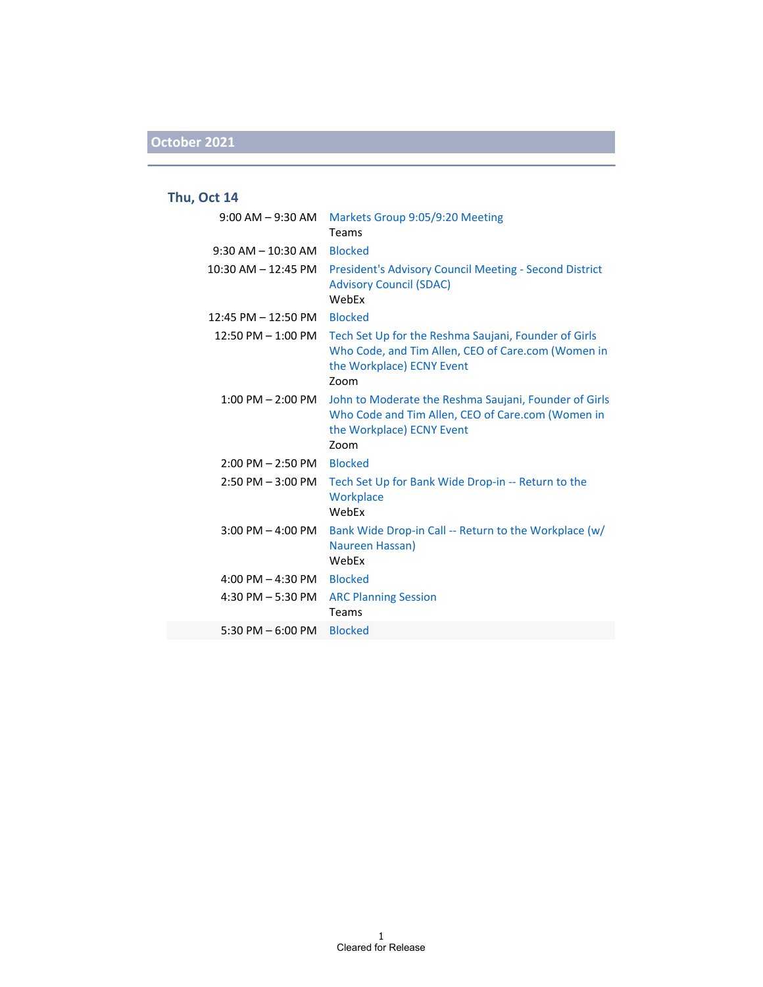### **Thu, Oct 14**

| $9:00$ AM $-9:30$ AM    | Markets Group 9:05/9:20 Meeting<br>Teams                                                                                                        |
|-------------------------|-------------------------------------------------------------------------------------------------------------------------------------------------|
| $9:30$ AM $- 10:30$ AM  | <b>Blocked</b>                                                                                                                                  |
| $10:30$ AM $- 12:45$ PM | <b>President's Advisory Council Meeting - Second District</b><br><b>Advisory Council (SDAC)</b><br>WebEx                                        |
| 12:45 PM - 12:50 PM     | <b>Blocked</b>                                                                                                                                  |
| 12:50 PM - 1:00 PM      | Tech Set Up for the Reshma Saujani, Founder of Girls<br>Who Code, and Tim Allen, CEO of Care.com (Women in<br>the Workplace) ECNY Event<br>Zoom |
| $1:00$ PM $- 2:00$ PM   | John to Moderate the Reshma Saujani, Founder of Girls<br>Who Code and Tim Allen, CEO of Care.com (Women in<br>the Workplace) ECNY Event<br>Zoom |
| $2:00$ PM $- 2:50$ PM   | <b>Blocked</b>                                                                                                                                  |
| $2:50$ PM $-3:00$ PM    | Tech Set Up for Bank Wide Drop-in -- Return to the<br>Workplace<br>WebEx                                                                        |
| $3:00$ PM $-$ 4:00 PM   | Bank Wide Drop-in Call -- Return to the Workplace (w/<br>Naureen Hassan)<br>WebEx                                                               |
| 4:00 PM $-$ 4:30 PM     | <b>Blocked</b>                                                                                                                                  |
| 4:30 PM $-$ 5:30 PM     | <b>ARC Planning Session</b><br>Teams                                                                                                            |
| 5:30 PM $-$ 6:00 PM     | <b>Blocked</b>                                                                                                                                  |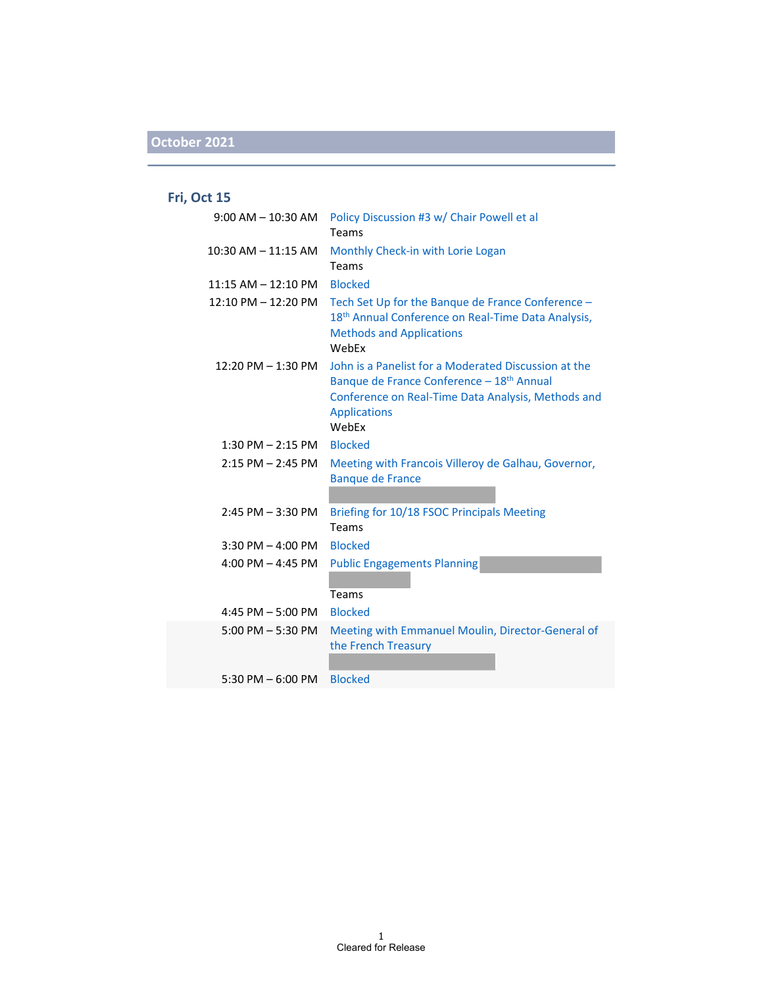### **Fri, Oct 15**

| $9:00$ AM $-$ 10:30 AM  | Policy Discussion #3 w/ Chair Powell et al<br>Teams                                                                                                                                                 |
|-------------------------|-----------------------------------------------------------------------------------------------------------------------------------------------------------------------------------------------------|
| $10:30$ AM $- 11:15$ AM | Monthly Check-in with Lorie Logan<br>Teams                                                                                                                                                          |
| $11:15$ AM $-12:10$ PM  | <b>Blocked</b>                                                                                                                                                                                      |
| 12:10 PM - 12:20 PM     | Tech Set Up for the Banque de France Conference -<br>18 <sup>th</sup> Annual Conference on Real-Time Data Analysis,<br><b>Methods and Applications</b><br>WebEx                                     |
| 12:20 PM - 1:30 PM      | John is a Panelist for a Moderated Discussion at the<br>Banque de France Conference - 18 <sup>th</sup> Annual<br>Conference on Real-Time Data Analysis, Methods and<br><b>Applications</b><br>WebFx |
| $1:30$ PM $- 2:15$ PM   | <b>Blocked</b>                                                                                                                                                                                      |
| $2:15$ PM $- 2:45$ PM   | Meeting with Francois Villeroy de Galhau, Governor,<br><b>Banque de France</b>                                                                                                                      |
| $2:45$ PM $-3:30$ PM    | Briefing for 10/18 FSOC Principals Meeting<br>Teams                                                                                                                                                 |
| $3:30$ PM $-$ 4:00 PM   | <b>Blocked</b>                                                                                                                                                                                      |
| 4:00 PM $-$ 4:45 PM     | <b>Public Engagements Planning</b><br>Teams                                                                                                                                                         |
| 4:45 PM $-$ 5:00 PM     | <b>Blocked</b>                                                                                                                                                                                      |
| $5:00$ PM $-5:30$ PM    | Meeting with Emmanuel Moulin, Director-General of<br>the French Treasury                                                                                                                            |
| 5:30 PM $-$ 6:00 PM     | <b>Blocked</b>                                                                                                                                                                                      |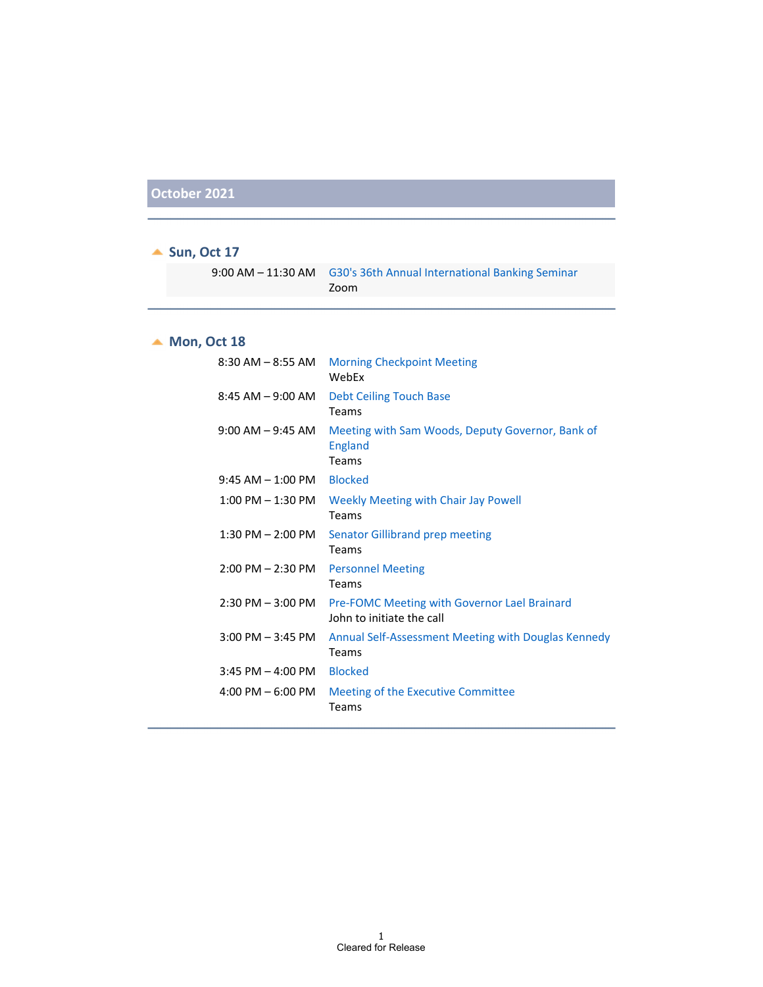#### ▲ Sun, Oct 17

| 9:00 AM - 11:30 AM G30's 36th Annual International Banking Seminar |
|--------------------------------------------------------------------|
| Zoom                                                               |

### **Mon, Oct 18**

| $8:30$ AM $ 8:55$ AM  | <b>Morning Checkpoint Meeting</b><br>WebEx                                       |
|-----------------------|----------------------------------------------------------------------------------|
| $8:45$ AM $-9:00$ AM  | Debt Ceiling Touch Base<br>Teams                                                 |
| $9:00$ AM $-9:45$ AM  | Meeting with Sam Woods, Deputy Governor, Bank of<br>England<br>Teams             |
| $9:45$ AM $- 1:00$ PM | <b>Blocked</b>                                                                   |
| $1:00$ PM $-1:30$ PM  | Weekly Meeting with Chair Jay Powell<br>Teams                                    |
| $1:30$ PM $- 2:00$ PM | Senator Gillibrand prep meeting<br>Teams                                         |
| $2:00$ PM $- 2:30$ PM | <b>Personnel Meeting</b><br>Teams                                                |
| $2:30$ PM $-3:00$ PM  | <b>Pre-FOMC Meeting with Governor Lael Brainard</b><br>John to initiate the call |
| $3:00$ PM $-3:45$ PM  | Annual Self-Assessment Meeting with Douglas Kennedy<br>Teams                     |
| $3:45$ PM $-$ 4:00 PM | <b>Blocked</b>                                                                   |
| 4:00 PM $-$ 6:00 PM   | Meeting of the Executive Committee<br>Teams                                      |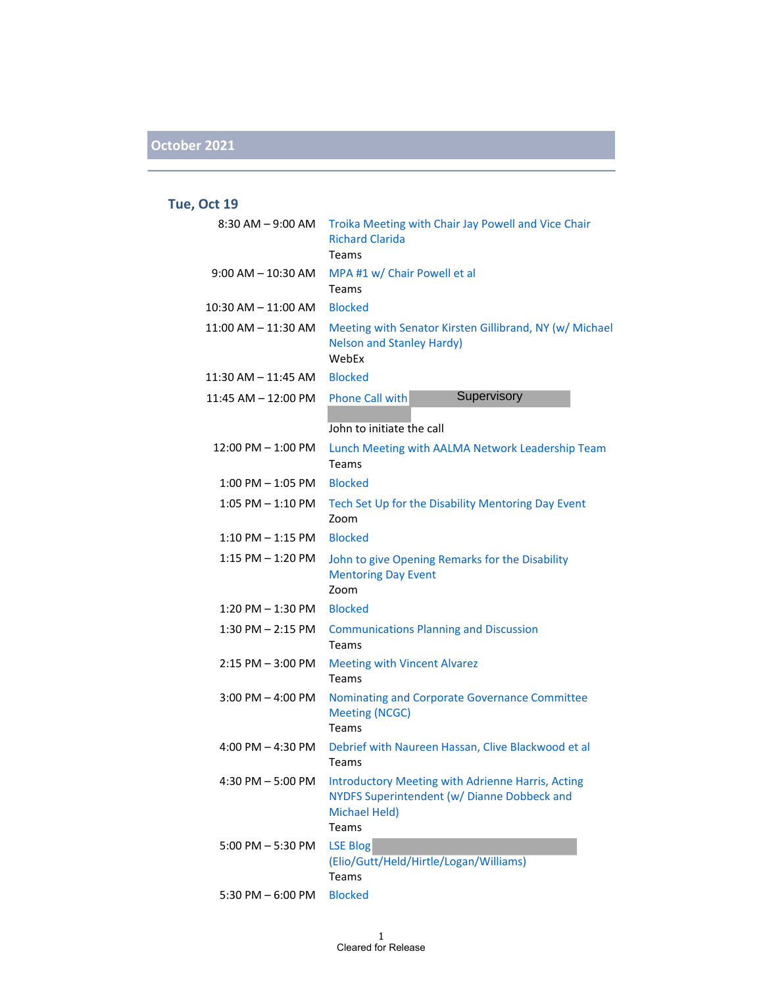### **Tue, Oct 19**

| $8:30$ AM $-9:00$ AM   | Troika Meeting with Chair Jay Powell and Vice Chair<br><b>Richard Clarida</b><br><b>Teams</b>                                     |
|------------------------|-----------------------------------------------------------------------------------------------------------------------------------|
| $9:00$ AM $-$ 10:30 AM | MPA #1 w/ Chair Powell et al<br><b>Teams</b>                                                                                      |
| 10:30 AM - 11:00 AM    | <b>Blocked</b>                                                                                                                    |
| 11:00 AM - 11:30 AM    | Meeting with Senator Kirsten Gillibrand, NY (w/ Michael<br><b>Nelson and Stanley Hardy)</b><br>WebEx                              |
| 11:30 AM - 11:45 AM    | <b>Blocked</b>                                                                                                                    |
| 11:45 AM - 12:00 PM    | Supervisory<br><b>Phone Call with</b>                                                                                             |
|                        | John to initiate the call                                                                                                         |
| 12:00 PM - 1:00 PM     | Lunch Meeting with AALMA Network Leadership Team<br>Teams                                                                         |
| $1:00$ PM $-1:05$ PM   | <b>Blocked</b>                                                                                                                    |
| $1:05$ PM $-1:10$ PM   | Tech Set Up for the Disability Mentoring Day Event<br>Zoom                                                                        |
| $1:10$ PM $-1:15$ PM   | <b>Blocked</b>                                                                                                                    |
| 1:15 PM - 1:20 PM      | John to give Opening Remarks for the Disability<br><b>Mentoring Day Event</b><br>Zoom                                             |
| $1:20$ PM $-1:30$ PM   | <b>Blocked</b>                                                                                                                    |
| $1:30$ PM $- 2:15$ PM  | <b>Communications Planning and Discussion</b><br>Teams                                                                            |
| $2:15$ PM $-3:00$ PM   | <b>Meeting with Vincent Alvarez</b><br>Teams                                                                                      |
| $3:00$ PM $-$ 4:00 PM  | Nominating and Corporate Governance Committee<br><b>Meeting (NCGC)</b><br>Teams                                                   |
| 4:00 PM $-$ 4:30 PM    | Debrief with Naureen Hassan, Clive Blackwood et al<br>Teams                                                                       |
| 4:30 PM $-$ 5:00 PM    | <b>Introductory Meeting with Adrienne Harris, Acting</b><br>NYDFS Superintendent (w/ Dianne Dobbeck and<br>Michael Held)<br>Teams |
| $5:00$ PM $-5:30$ PM   | <b>LSE Blog</b><br>(Elio/Gutt/Held/Hirtle/Logan/Williams)<br>Teams                                                                |
| 5:30 PM $-6:00$ PM     | <b>Blocked</b>                                                                                                                    |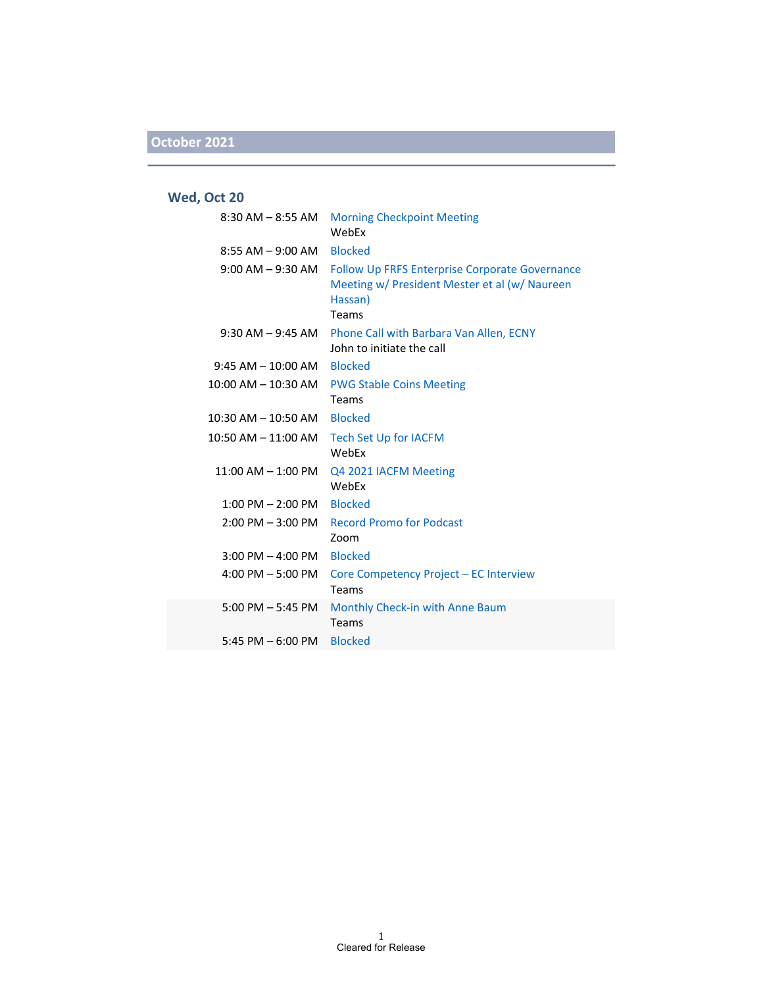### **Wed, Oct 20**

| $8:30$ AM $-8:55$ AM    | <b>Morning Checkpoint Meeting</b><br>WebEx                                                                                 |
|-------------------------|----------------------------------------------------------------------------------------------------------------------------|
| $8:55$ AM $-9:00$ AM    | <b>Blocked</b>                                                                                                             |
| $9:00$ AM $-9:30$ AM    | <b>Follow Up FRFS Enterprise Corporate Governance</b><br>Meeting w/ President Mester et al (w/ Naureen<br>Hassan)<br>Teams |
| 9:30 AM – 9:45 AM       | Phone Call with Barbara Van Allen, ECNY<br>John to initiate the call                                                       |
| $9:45$ AM $-$ 10:00 AM  | <b>Blocked</b>                                                                                                             |
| $10:00$ AM $ 10:30$ AM  | <b>PWG Stable Coins Meeting</b><br>Teams                                                                                   |
| $10:30$ AM $- 10:50$ AM | <b>Blocked</b>                                                                                                             |
| $10:50$ AM $- 11:00$ AM | Tech Set Up for IACFM<br>WebEx                                                                                             |
| $11:00$ AM $-1:00$ PM   | Q4 2021 IACFM Meeting                                                                                                      |
|                         | WebFx                                                                                                                      |
| $1:00$ PM $- 2:00$ PM   | <b>Blocked</b>                                                                                                             |
| $2:00$ PM $-3:00$ PM    | <b>Record Promo for Podcast</b><br>Zoom                                                                                    |
| $3:00$ PM $-$ 4:00 PM   | <b>Blocked</b>                                                                                                             |
| 4:00 PM $-5:00$ PM      | Core Competency Project - EC Interview<br>Teams                                                                            |
| $5:00$ PM $-5:45$ PM    | Monthly Check-in with Anne Baum<br>Teams                                                                                   |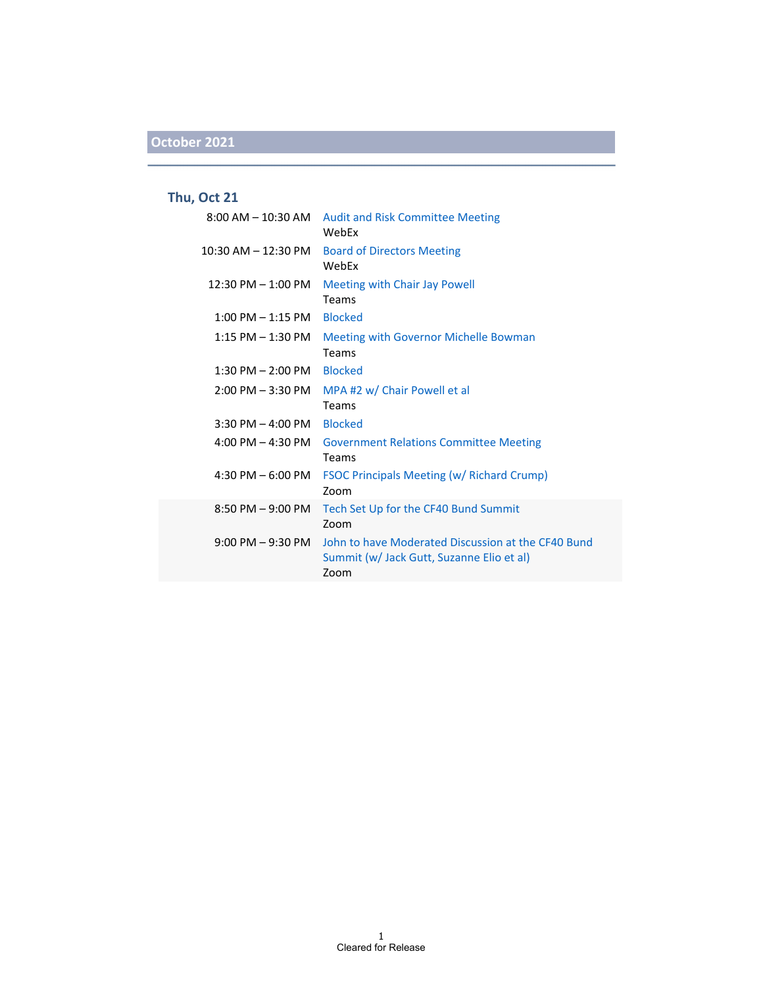### **Thu, Oct 21**

|                       | 8:00 AM - 10:30 AM Audit and Risk Committee Meeting<br>WebFx                                            |
|-----------------------|---------------------------------------------------------------------------------------------------------|
| 10:30 AM - 12:30 PM   | <b>Board of Directors Meeting</b><br>WebFx                                                              |
| 12:30 PM - 1:00 PM    | Meeting with Chair Jay Powell<br>Teams                                                                  |
| $1:00$ PM $-1:15$ PM  | <b>Blocked</b>                                                                                          |
| $1:15$ PM $-1:30$ PM  | Meeting with Governor Michelle Bowman<br>Teams                                                          |
| $1:30$ PM $- 2:00$ PM | <b>Blocked</b>                                                                                          |
| $2:00$ PM $-3:30$ PM  | MPA #2 w/ Chair Powell et al<br>Teams                                                                   |
| $3:30$ PM $-$ 4:00 PM | <b>Blocked</b>                                                                                          |
| $4:00$ PM $- 4:30$ PM | <b>Government Relations Committee Meeting</b><br>Teams                                                  |
| $4:30$ PM $-6:00$ PM  | <b>FSOC Principals Meeting (w/ Richard Crump)</b><br>Zoom                                               |
| $8:50$ PM $-9:00$ PM  | Tech Set Up for the CF40 Bund Summit<br>Zoom                                                            |
| $9:00$ PM $-9:30$ PM  | John to have Moderated Discussion at the CF40 Bund<br>Summit (w/ Jack Gutt, Suzanne Elio et al)<br>Zoom |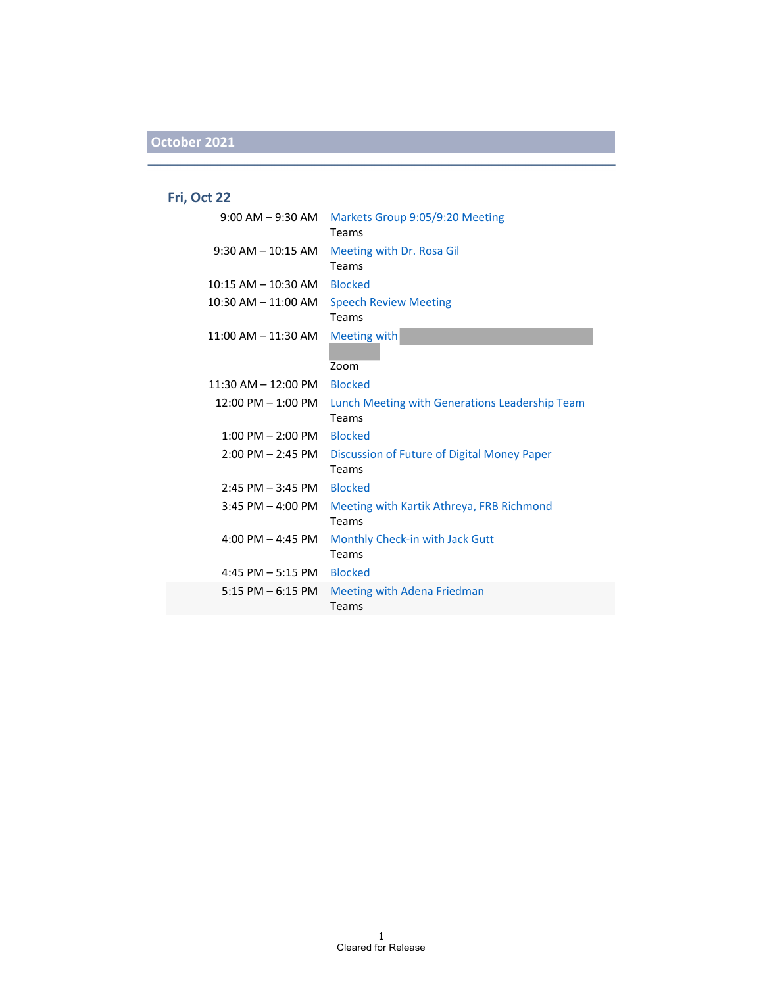### **Fri, Oct 22**

|                              | 9:00 AM - 9:30 AM Markets Group 9:05/9:20 Meeting<br>Teams |
|------------------------------|------------------------------------------------------------|
| $9:30$ AM $-$ 10:15 AM       | Meeting with Dr. Rosa Gil                                  |
|                              | Teams                                                      |
| 10:15 AM - 10:30 AM Blocked  |                                                            |
| $10:30$ AM $ 11:00$ AM       | <b>Speech Review Meeting</b>                               |
|                              | Teams                                                      |
| $11:00$ AM $-11:30$ AM       | Meeting with                                               |
|                              |                                                            |
|                              | Zoom                                                       |
| $11:30$ AM $-12:00$ PM       | <b>Blocked</b>                                             |
| $12:00$ PM $- 1:00$ PM       | Lunch Meeting with Generations Leadership Team             |
|                              | Teams                                                      |
| $1:00$ PM $- 2:00$ PM        | <b>Blocked</b>                                             |
| $2:00$ PM $- 2:45$ PM        | Discussion of Future of Digital Money Paper                |
|                              | Teams                                                      |
| 2:45 PM - 3:45 PM Blocked    |                                                            |
| $3:45$ PM $-$ 4:00 PM        | Meeting with Kartik Athreya, FRB Richmond                  |
|                              | Teams                                                      |
| 4:00 PM $-$ 4:45 PM          | Monthly Check-in with Jack Gutt                            |
|                              | Teams                                                      |
| $4:45$ PM $-5:15$ PM Blocked |                                                            |
| $5:15$ PM $-6:15$ PM         | Meeting with Adena Friedman                                |
|                              | Teams                                                      |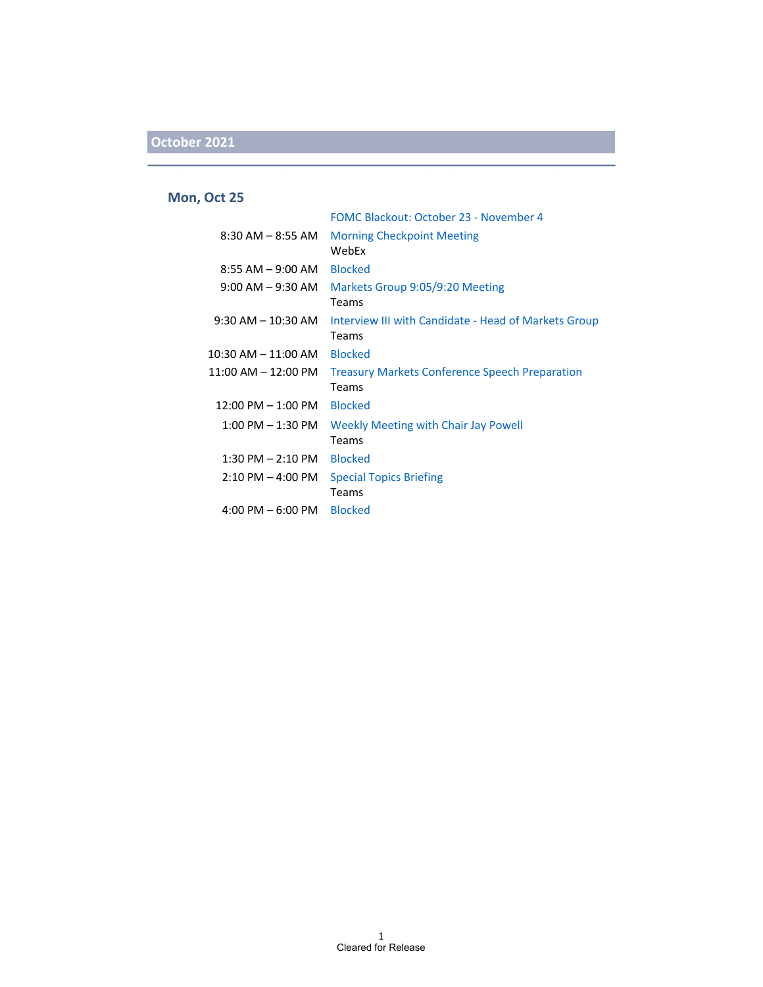#### **Mon, Oct 25**

|                                     | FOMC Blackout: October 23 - November 4                |
|-------------------------------------|-------------------------------------------------------|
| $8:30$ AM $-8:55$ AM                | <b>Morning Checkpoint Meeting</b>                     |
|                                     | WebEx                                                 |
| $8:55$ AM $-9:00$ AM                | <b>Blocked</b>                                        |
| $9:00$ AM $-9:30$ AM                | Markets Group 9:05/9:20 Meeting                       |
|                                     | Teams                                                 |
| $9:30$ AM $- 10:30$ AM              | Interview III with Candidate - Head of Markets Group  |
|                                     | Teams                                                 |
| $10:30$ AM $- 11:00$ AM             | <b>Blocked</b>                                        |
| $11:00$ AM $-12:00$ PM              | <b>Treasury Markets Conference Speech Preparation</b> |
|                                     | Teams                                                 |
| 12:00 PM - 1:00 PM                  | <b>Blocked</b>                                        |
| $1:00$ PM $-1:30$ PM                | Weekly Meeting with Chair Jay Powell                  |
|                                     | Teams                                                 |
| $1:30$ PM $- 2:10$ PM               | <b>Blocked</b>                                        |
| $2:10$ PM $-$ 4:00 PM               | <b>Special Topics Briefing</b>                        |
|                                     | Teams                                                 |
| $4:00 \text{ PM} - 6:00 \text{ PM}$ | <b>Blocked</b>                                        |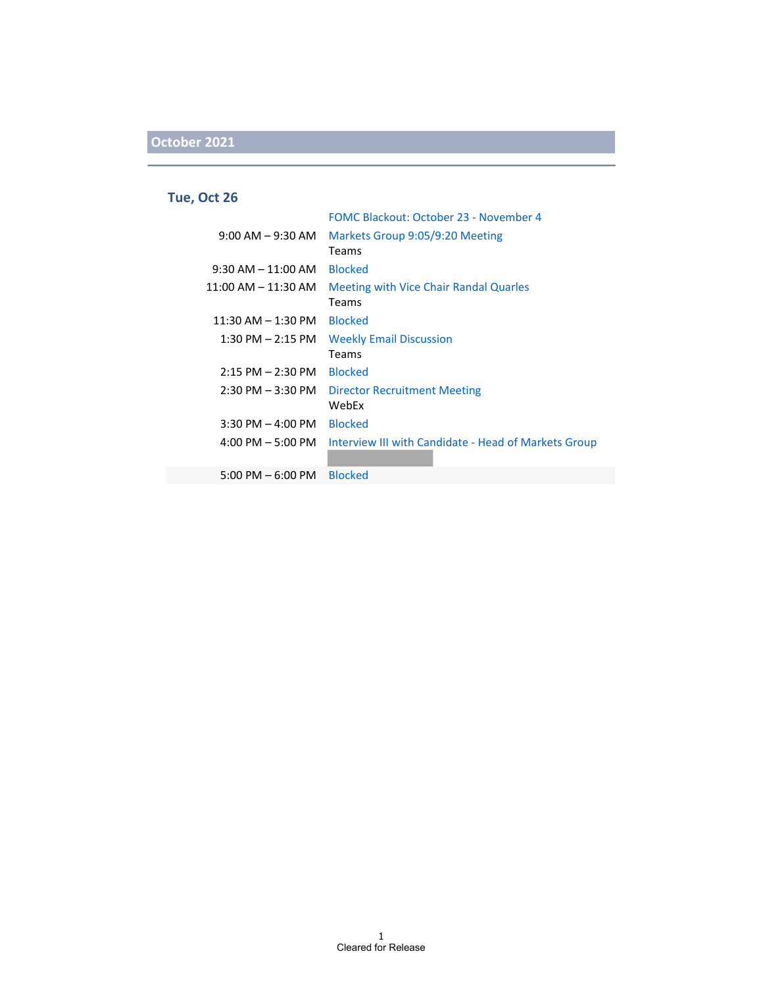#### **Tue, Oct 26**

| FOMC Blackout: October 23 - November 4               |
|------------------------------------------------------|
| Markets Group 9:05/9:20 Meeting                      |
| Teams                                                |
| <b>Blocked</b>                                       |
| <b>Meeting with Vice Chair Randal Quarles</b>        |
| Teams                                                |
| <b>Blocked</b>                                       |
| <b>Weekly Email Discussion</b>                       |
| Teams                                                |
| <b>Blocked</b>                                       |
| <b>Director Recruitment Meeting</b>                  |
| WebEx                                                |
| <b>Blocked</b>                                       |
| Interview III with Candidate - Head of Markets Group |
|                                                      |
| <b>Blocked</b>                                       |
|                                                      |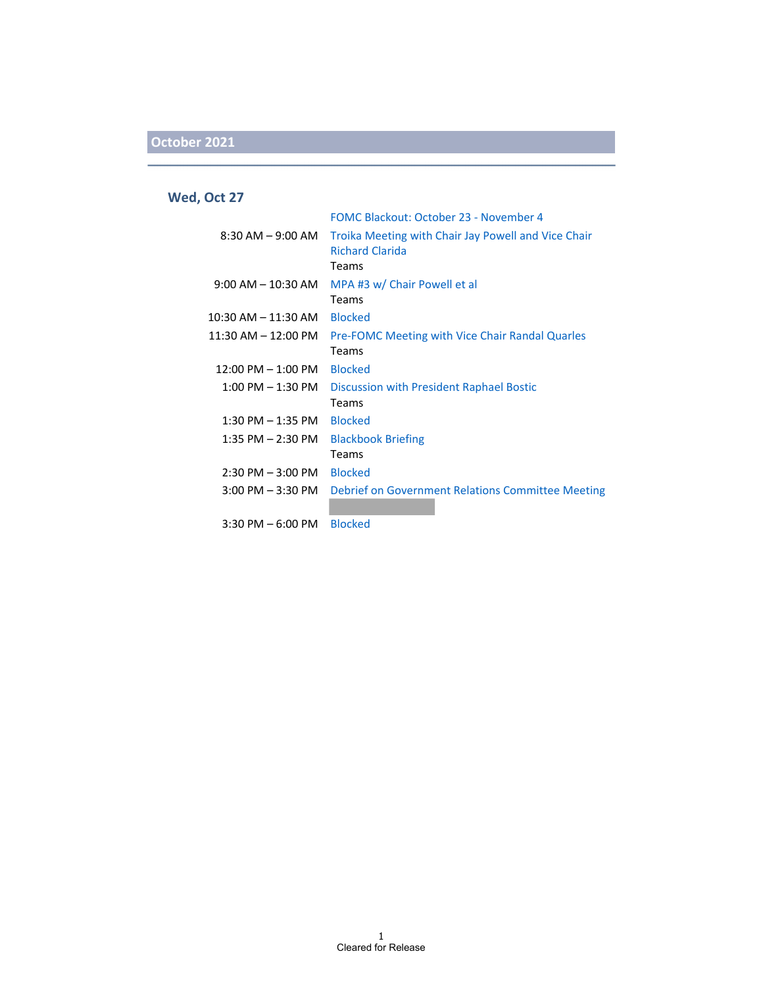#### **Wed, Oct 27**

|                        | <b>FOMC Blackout: October 23 - November 4</b>                                 |
|------------------------|-------------------------------------------------------------------------------|
| $8:30$ AM $-9:00$ AM   | Troika Meeting with Chair Jay Powell and Vice Chair<br><b>Richard Clarida</b> |
|                        | Teams                                                                         |
| $9:00$ AM $-$ 10:30 AM | MPA #3 w/ Chair Powell et al                                                  |
|                        | Teams                                                                         |
| 10:30 AM – 11:30 AM    | <b>Blocked</b>                                                                |
| $11:30$ AM $-12:00$ PM | <b>Pre-FOMC Meeting with Vice Chair Randal Quarles</b>                        |
|                        | Teams                                                                         |
| $12:00$ PM $- 1:00$ PM | <b>Blocked</b>                                                                |
| $1:00$ PM $-$ 1:30 PM  | Discussion with President Raphael Bostic                                      |
|                        | Teams                                                                         |
| $1:30$ PM $-1:35$ PM   | <b>Blocked</b>                                                                |
| $1:35$ PM $- 2:30$ PM  | <b>Blackbook Briefing</b>                                                     |
|                        | Teams                                                                         |
| $2:30$ PM $-3:00$ PM   | <b>Blocked</b>                                                                |
|                        | 3:00 PM – 3:30 PM Debrief on Government Relations Committee Meeting           |
|                        |                                                                               |
| $3:30$ PM $-6:00$ PM   | <b>Blocked</b>                                                                |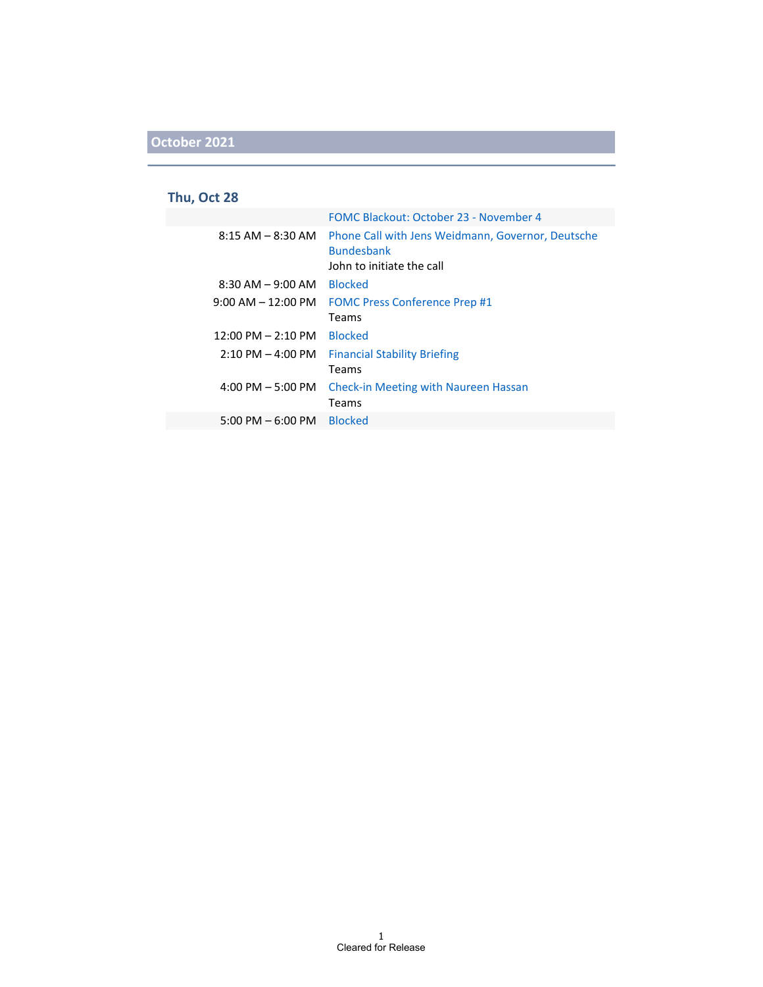### **Thu, Oct 28**

|                                     | FOMC Blackout: October 23 - November 4                                                              |
|-------------------------------------|-----------------------------------------------------------------------------------------------------|
| $8:15 AM - 8:30 AM$                 | Phone Call with Jens Weidmann, Governor, Deutsche<br><b>Bundesbank</b><br>John to initiate the call |
| $8:30$ AM $-9:00$ AM                | <b>Blocked</b>                                                                                      |
| $9:00$ AM $-12:00$ PM               | <b>FOMC Press Conference Prep #1</b><br>Teams                                                       |
| $12:00$ PM $- 2:10$ PM              | <b>Blocked</b>                                                                                      |
| $2:10$ PM $-$ 4:00 PM               | <b>Financial Stability Briefing</b><br>Teams                                                        |
| 4:00 PM $-$ 5:00 PM                 | <b>Check-in Meeting with Naureen Hassan</b><br>Teams                                                |
| $5:00 \text{ PM} - 6:00 \text{ PM}$ | <b>Blocked</b>                                                                                      |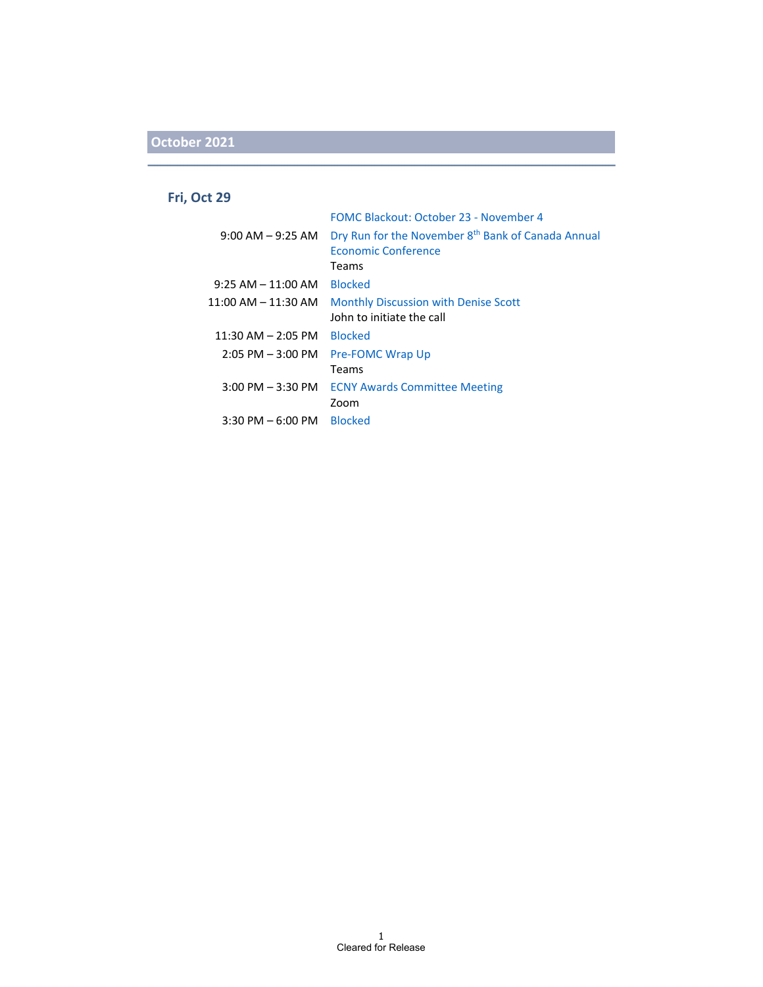#### **Fri, Oct 29**

| <b>FOMC Blackout: October 23 - November 4</b>                                                |
|----------------------------------------------------------------------------------------------|
| Dry Run for the November 8 <sup>th</sup> Bank of Canada Annual<br><b>Economic Conference</b> |
| Teams                                                                                        |
| <b>Blocked</b>                                                                               |
| <b>Monthly Discussion with Denise Scott</b><br>John to initiate the call                     |
| <b>Blocked</b>                                                                               |
| <b>Pre-FOMC Wrap Up</b>                                                                      |
| Teams                                                                                        |
| <b>ECNY Awards Committee Meeting</b>                                                         |
| Zoom                                                                                         |
| <b>Blocked</b>                                                                               |
|                                                                                              |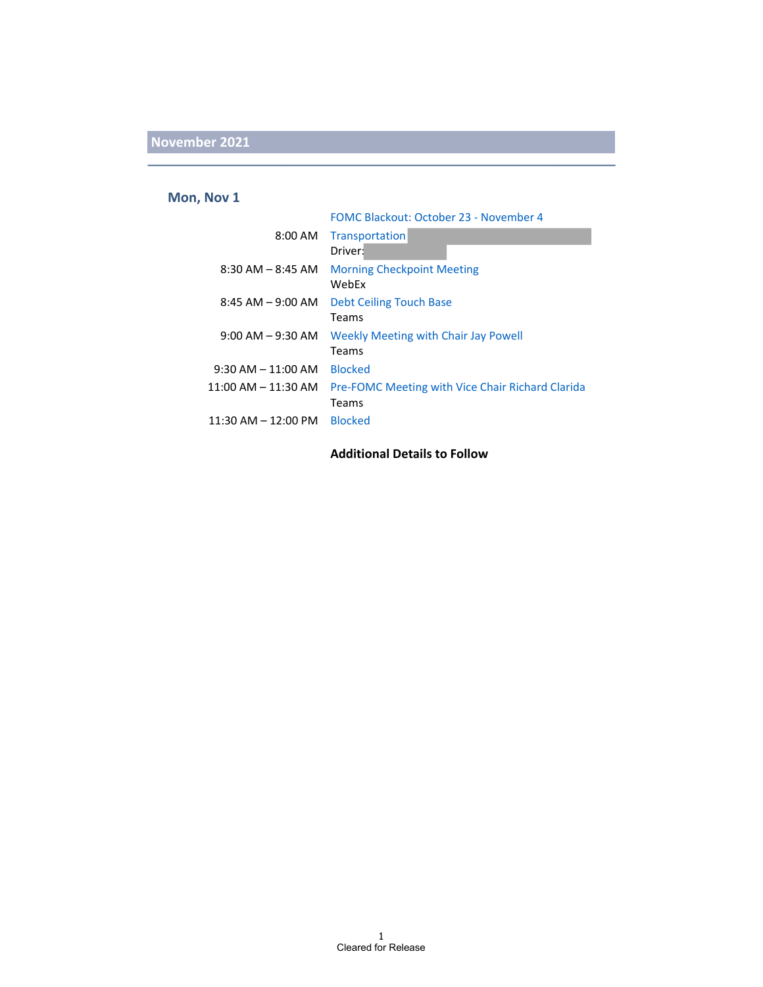#### **Mon, Nov 1**

|                        | <b>FOMC Blackout: October 23 - November 4</b>                    |
|------------------------|------------------------------------------------------------------|
| 8:00 AM                | Transportation<br>Driver:                                        |
| $8:30$ AM $-$ 8:45 AM  | <b>Morning Checkpoint Meeting</b><br>WebEx                       |
| $8:45$ AM $-9:00$ AM   | Debt Ceiling Touch Base<br>Teams                                 |
| $9:00$ AM $-9:30$ AM   | <b>Weekly Meeting with Chair Jay Powell</b><br>Teams             |
| $9:30$ AM $-$ 11:00 AM | <b>Blocked</b>                                                   |
| 11:00 AM – 11:30 AM    | <b>Pre-FOMC Meeting with Vice Chair Richard Clarida</b><br>Teams |
| $11:30$ AM $-12:00$ PM | <b>Blocked</b>                                                   |

#### **Additional Details to Follow**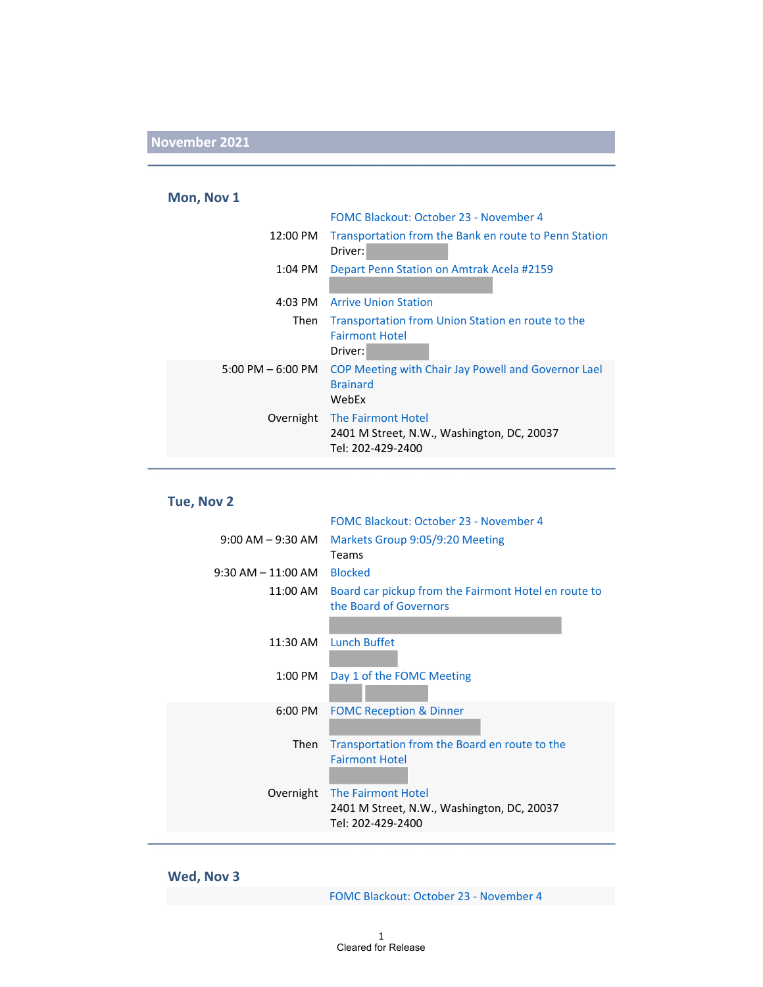### **Mon, Nov 1**

| <b>FOMC Blackout: October 23 - November 4</b>                                         |
|---------------------------------------------------------------------------------------|
| Transportation from the Bank en route to Penn Station<br>Driver:                      |
| Depart Penn Station on Amtrak Acela #2159                                             |
| <b>Arrive Union Station</b>                                                           |
| Transportation from Union Station en route to the<br><b>Fairmont Hotel</b><br>Driver: |
| COP Meeting with Chair Jay Powell and Governor Lael<br><b>Brainard</b><br>WebEx       |
| The Fairmont Hotel<br>2401 M Street, N.W., Washington, DC, 20037<br>Tel: 202-429-2400 |
|                                                                                       |

### **Tue, Nov 2**

|                       | <b>FOMC Blackout: October 23 - November 4</b>                   |
|-----------------------|-----------------------------------------------------------------|
| $9:00$ AM $-9:30$ AM  | Markets Group 9:05/9:20 Meeting                                 |
|                       | Teams                                                           |
| $9:30$ AM $ 11:00$ AM | <b>Blocked</b>                                                  |
| 11:00 AM              | Board car pickup from the Fairmont Hotel en route to            |
|                       | the Board of Governors                                          |
|                       |                                                                 |
| 11:30 AM              | Lunch Buffet                                                    |
|                       |                                                                 |
| $1:00$ PM             | Day 1 of the FOMC Meeting                                       |
|                       |                                                                 |
| $6:00$ PM             | <b>FOMC Reception &amp; Dinner</b>                              |
|                       |                                                                 |
| Then                  | Transportation from the Board en route to the                   |
|                       | <b>Fairmont Hotel</b>                                           |
|                       |                                                                 |
| Overnight             | The Fairmont Hotel                                              |
|                       | 2401 M Street, N.W., Washington, DC, 20037<br>Tel: 202-429-2400 |
|                       |                                                                 |

### **Wed, Nov 3**

FOMC Blackout: October 23 ‐ November 4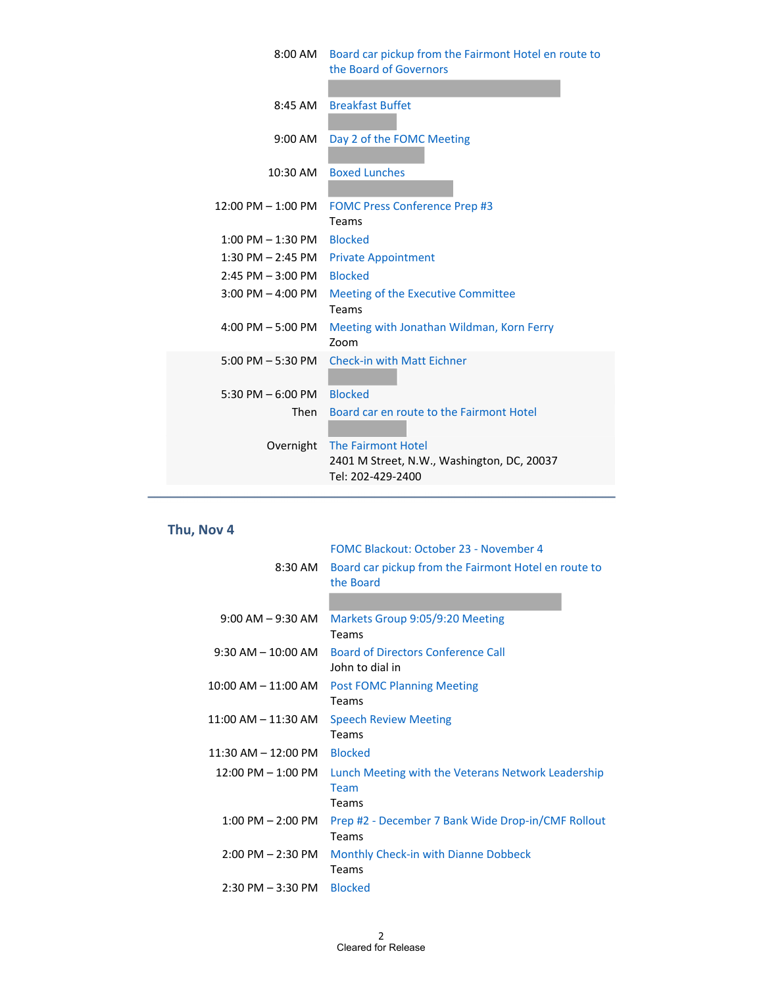| 8:00 AM                | Board car pickup from the Fairmont Hotel en route to<br>the Board of Governors        |
|------------------------|---------------------------------------------------------------------------------------|
| 8:45 AM                | <b>Breakfast Buffet</b>                                                               |
| $9:00$ AM              | Day 2 of the FOMC Meeting                                                             |
| 10:30 AM               | <b>Boxed Lunches</b>                                                                  |
| $12:00$ PM $- 1:00$ PM | <b>FOMC Press Conference Prep #3</b><br><b>Teams</b>                                  |
| $1:00$ PM $-1:30$ PM   | <b>Blocked</b>                                                                        |
| $1:30$ PM $- 2:45$ PM  | <b>Private Appointment</b>                                                            |
| $2:45$ PM $-3:00$ PM   | <b>Blocked</b>                                                                        |
| $3:00$ PM $-$ 4:00 PM  | Meeting of the Executive Committee<br>Teams                                           |
| 4:00 PM $-$ 5:00 PM    | Meeting with Jonathan Wildman, Korn Ferry<br>Zoom                                     |
| $5:00$ PM $-5:30$ PM   | <b>Check-in with Matt Eichner</b>                                                     |
| 5:30 PM $-$ 6:00 PM    | <b>Blocked</b>                                                                        |
| Then                   | Board car en route to the Fairmont Hotel                                              |
| Overnight              | The Fairmont Hotel<br>2401 M Street, N.W., Washington, DC, 20037<br>Tel: 202-429-2400 |
|                        |                                                                                       |

### **Thu, Nov 4**

|                             | FOMC Blackout: October 23 - November 4                                     |
|-----------------------------|----------------------------------------------------------------------------|
| 8:30 AM                     | Board car pickup from the Fairmont Hotel en route to<br>the Board          |
|                             |                                                                            |
| $9:00$ AM $-9:30$ AM        | Markets Group 9:05/9:20 Meeting<br>Teams                                   |
| $9:30$ AM $-$ 10:00 AM $\,$ | <b>Board of Directors Conference Call</b><br>John to dial in               |
| $10:00$ AM $- 11:00$ AM     | <b>Post FOMC Planning Meeting</b><br>Teams                                 |
| $11:00$ AM $- 11:30$ AM     | <b>Speech Review Meeting</b><br>Teams                                      |
| $11:30$ AM $- 12:00$ PM     | <b>Blocked</b>                                                             |
| $12:00$ PM $- 1:00$ PM      | Lunch Meeting with the Veterans Network Leadership<br><b>Team</b><br>Teams |
| $1:00$ PM $- 2:00$ PM       | Prep #2 - December 7 Bank Wide Drop-in/CMF Rollout<br>Teams                |
| $2:00$ PM $- 2:30$ PM       | <b>Monthly Check-in with Dianne Dobbeck</b><br>Teams                       |
| $2:30$ PM $-3:30$ PM        | <b>Blocked</b>                                                             |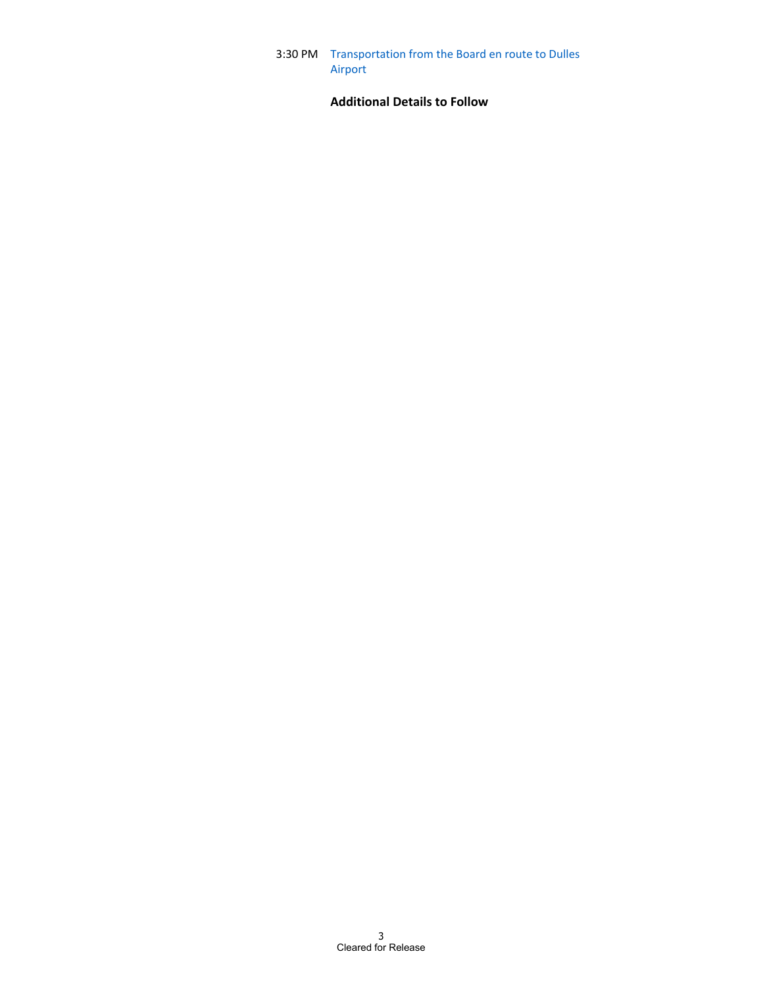#### 3:30 PM Transportation from the Board en route to Dulles Airport

#### **Additional Details to Follow**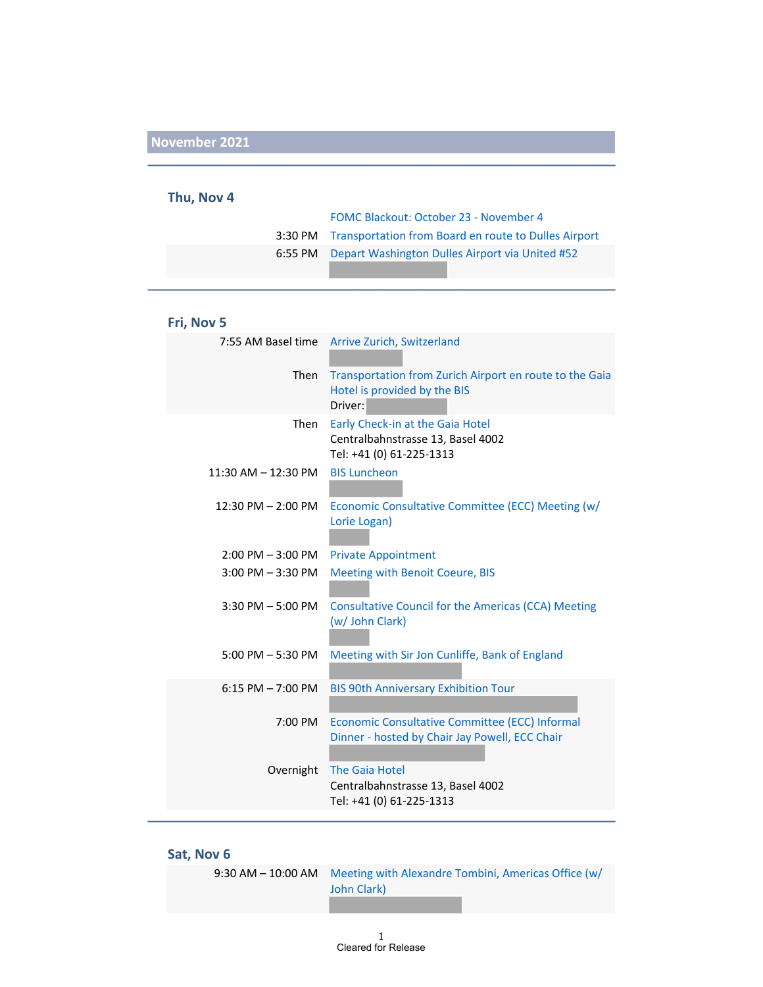#### **Thu, Nov 4**

| FOMC Blackout: October 23 - November 4                       |
|--------------------------------------------------------------|
| 3:30 PM Transportation from Board en route to Dulles Airport |
| 6:55 PM Depart Washington Dulles Airport via United #52      |

### **Fri, Nov 5**

|                        | 7:55 AM Basel time Arrive Zurich, Switzerland                                                      |
|------------------------|----------------------------------------------------------------------------------------------------|
| Then                   | Transportation from Zurich Airport en route to the Gaia<br>Hotel is provided by the BIS<br>Driver: |
| Then                   | Early Check-in at the Gaia Hotel<br>Centralbahnstrasse 13, Basel 4002<br>Tel: +41 (0) 61-225-1313  |
| 11:30 AM - 12:30 PM    | <b>BIS Luncheon</b>                                                                                |
| $12:30$ PM $- 2:00$ PM | Economic Consultative Committee (ECC) Meeting (w/<br>Lorie Logan)                                  |
| $2:00$ PM $-3:00$ PM   | <b>Private Appointment</b>                                                                         |
| $3:00$ PM $-3:30$ PM   | <b>Meeting with Benoit Coeure, BIS</b>                                                             |
| $3:30$ PM $-5:00$ PM   | Consultative Council for the Americas (CCA) Meeting<br>(w/ John Clark)                             |
| $5:00$ PM $-5:30$ PM   | Meeting with Sir Jon Cunliffe, Bank of England                                                     |
| $6:15$ PM $-7:00$ PM   | <b>BIS 90th Anniversary Exhibition Tour</b>                                                        |
| 7:00 PM                | Economic Consultative Committee (ECC) Informal<br>Dinner - hosted by Chair Jay Powell, ECC Chair   |
| Overnight              | The Gaia Hotel<br>Centralbahnstrasse 13, Basel 4002<br>Tel: +41 (0) 61-225-1313                    |
|                        |                                                                                                    |

# **Sat, Nov 6**

| 9:30 AM $-$ 10:00 AM Meeting with Alexandre Tombini, Americas Office (w/ |
|--------------------------------------------------------------------------|
| John Clark)                                                              |
|                                                                          |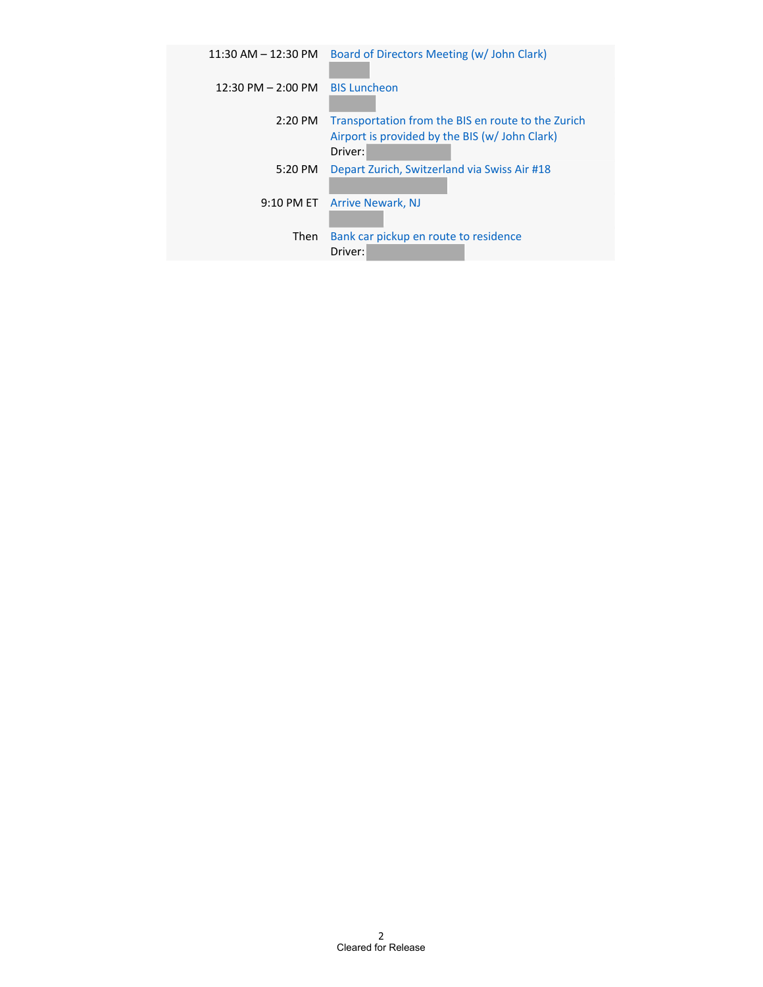| $11:30$ AM $- 12:30$ PM | Board of Directors Meeting (w/ John Clark)         |
|-------------------------|----------------------------------------------------|
| $12:30$ PM $- 2:00$ PM  | <b>BIS Luncheon</b>                                |
| $2:20$ PM               | Transportation from the BIS en route to the Zurich |
|                         | Airport is provided by the BIS (w/ John Clark)     |
|                         | Driver:                                            |
| 5:20 PM                 | Depart Zurich, Switzerland via Swiss Air #18       |
|                         | 9:10 PM ET Arrive Newark, NJ                       |
| Then                    | Bank car pickup en route to residence              |
|                         | Driver:                                            |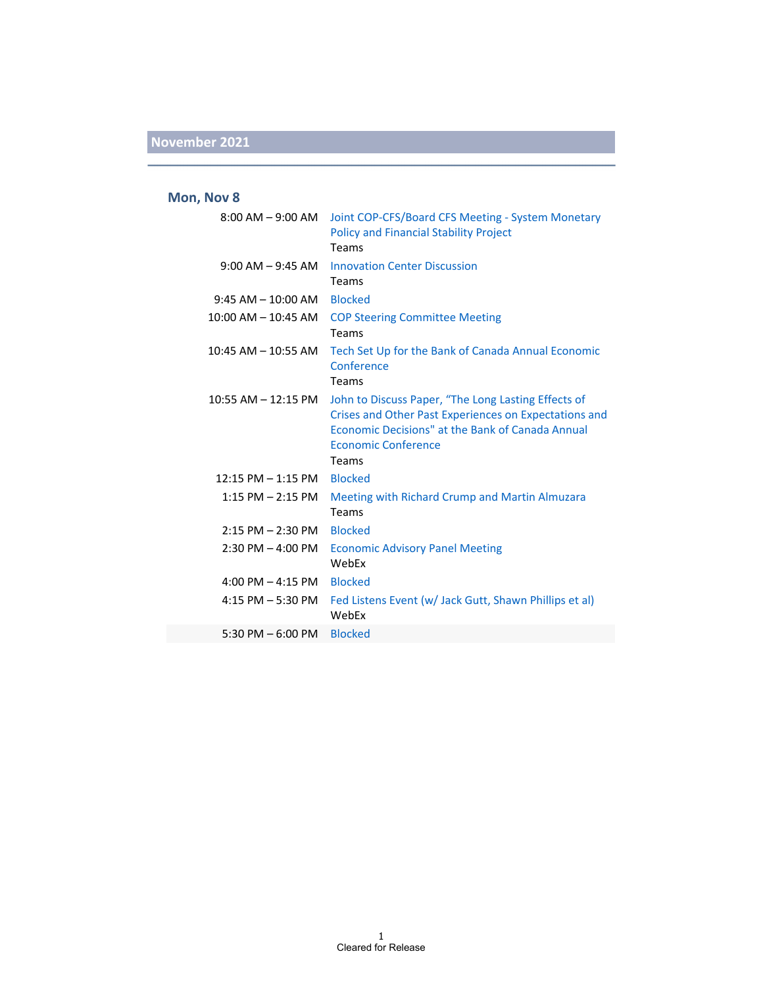#### **Mon, Nov 8**

| $8:00$ AM $-9:00$ AM    | Joint COP-CFS/Board CFS Meeting - System Monetary<br><b>Policy and Financial Stability Project</b><br>Teams                                                                                             |
|-------------------------|---------------------------------------------------------------------------------------------------------------------------------------------------------------------------------------------------------|
| $9:00$ AM $-9:45$ AM    | <b>Innovation Center Discussion</b><br>Teams                                                                                                                                                            |
| $9:45$ AM $-$ 10:00 AM  | <b>Blocked</b>                                                                                                                                                                                          |
| $10:00$ AM $- 10:45$ AM | <b>COP Steering Committee Meeting</b><br>Teams                                                                                                                                                          |
| $10:45$ AM $-$ 10:55 AM | Tech Set Up for the Bank of Canada Annual Economic<br>Conference<br>Teams                                                                                                                               |
| $10:55$ AM $- 12:15$ PM | John to Discuss Paper, "The Long Lasting Effects of<br>Crises and Other Past Experiences on Expectations and<br>Economic Decisions" at the Bank of Canada Annual<br><b>Economic Conference</b><br>Teams |
| $12:15$ PM $- 1:15$ PM  | <b>Blocked</b>                                                                                                                                                                                          |
| $1:15$ PM $- 2:15$ PM   | Meeting with Richard Crump and Martin Almuzara<br>Teams                                                                                                                                                 |
| $2:15$ PM $- 2:30$ PM   | <b>Blocked</b>                                                                                                                                                                                          |
| $2:30$ PM $-$ 4:00 PM   | <b>Economic Advisory Panel Meeting</b><br>WebEx                                                                                                                                                         |
| 4:00 PM $-$ 4:15 PM     | <b>Blocked</b>                                                                                                                                                                                          |
| $4:15$ PM $-5:30$ PM    | Fed Listens Event (w/ Jack Gutt, Shawn Phillips et al)<br>WebEx                                                                                                                                         |
| 5:30 PM $-$ 6:00 PM     | <b>Blocked</b>                                                                                                                                                                                          |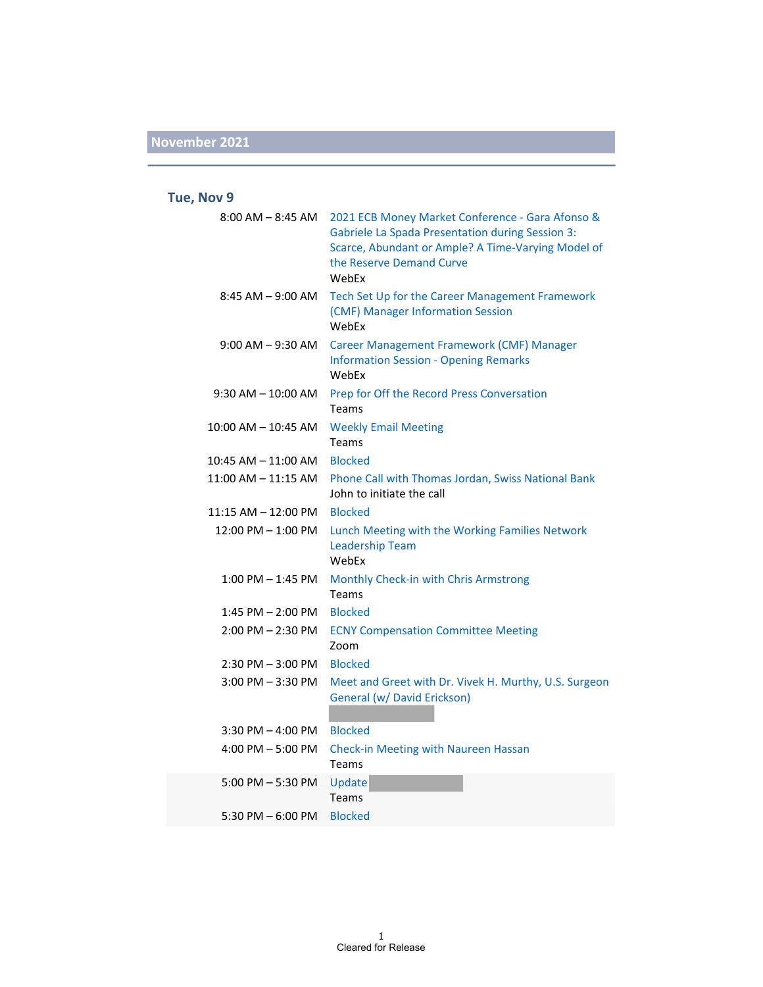#### **Tue, Nov 9**

| $8:00$ AM $-$ 8:45 AM   | 2021 ECB Money Market Conference - Gara Afonso &<br><b>Gabriele La Spada Presentation during Session 3:</b><br>Scarce, Abundant or Ample? A Time-Varying Model of<br>the Reserve Demand Curve<br>WebEx |
|-------------------------|--------------------------------------------------------------------------------------------------------------------------------------------------------------------------------------------------------|
| 8:45 AM – 9:00 AM       | Tech Set Up for the Career Management Framework<br>(CMF) Manager Information Session<br>WebEx                                                                                                          |
| $9:00$ AM $-9:30$ AM    | Career Management Framework (CMF) Manager<br><b>Information Session - Opening Remarks</b><br>WebEx                                                                                                     |
| $9:30$ AM $-$ 10:00 AM  | Prep for Off the Record Press Conversation<br>Teams                                                                                                                                                    |
| $10:00$ AM $-$ 10:45 AM | <b>Weekly Email Meeting</b><br>Teams                                                                                                                                                                   |
| $10:45$ AM $-11:00$ AM  | <b>Blocked</b>                                                                                                                                                                                         |
| $11:00$ AM $-11:15$ AM  | Phone Call with Thomas Jordan, Swiss National Bank<br>John to initiate the call                                                                                                                        |
| 11:15 AM - 12:00 PM     | <b>Blocked</b>                                                                                                                                                                                         |
| 12:00 PM - 1:00 PM      | Lunch Meeting with the Working Families Network<br><b>Leadership Team</b><br>WebEx                                                                                                                     |
| $1:00$ PM $-1:45$ PM    | Monthly Check-in with Chris Armstrong<br>Teams                                                                                                                                                         |
| $1:45$ PM $- 2:00$ PM   | <b>Blocked</b>                                                                                                                                                                                         |
| $2:00$ PM $-2:30$ PM    | <b>ECNY Compensation Committee Meeting</b><br>Zoom                                                                                                                                                     |
| $2:30$ PM $-3:00$ PM    | <b>Blocked</b>                                                                                                                                                                                         |
| $3:00$ PM $-3:30$ PM    | Meet and Greet with Dr. Vivek H. Murthy, U.S. Surgeon<br>General (w/ David Erickson)                                                                                                                   |
| $3:30$ PM $-$ 4:00 PM   | <b>Blocked</b>                                                                                                                                                                                         |
| 4:00 PM - 5:00 PM       | Check-in Meeting with Naureen Hassan<br>Teams                                                                                                                                                          |
| $5:00$ PM $-5:30$ PM    | Update<br>Teams                                                                                                                                                                                        |
| 5:30 PM $-6:00$ PM      | <b>Blocked</b>                                                                                                                                                                                         |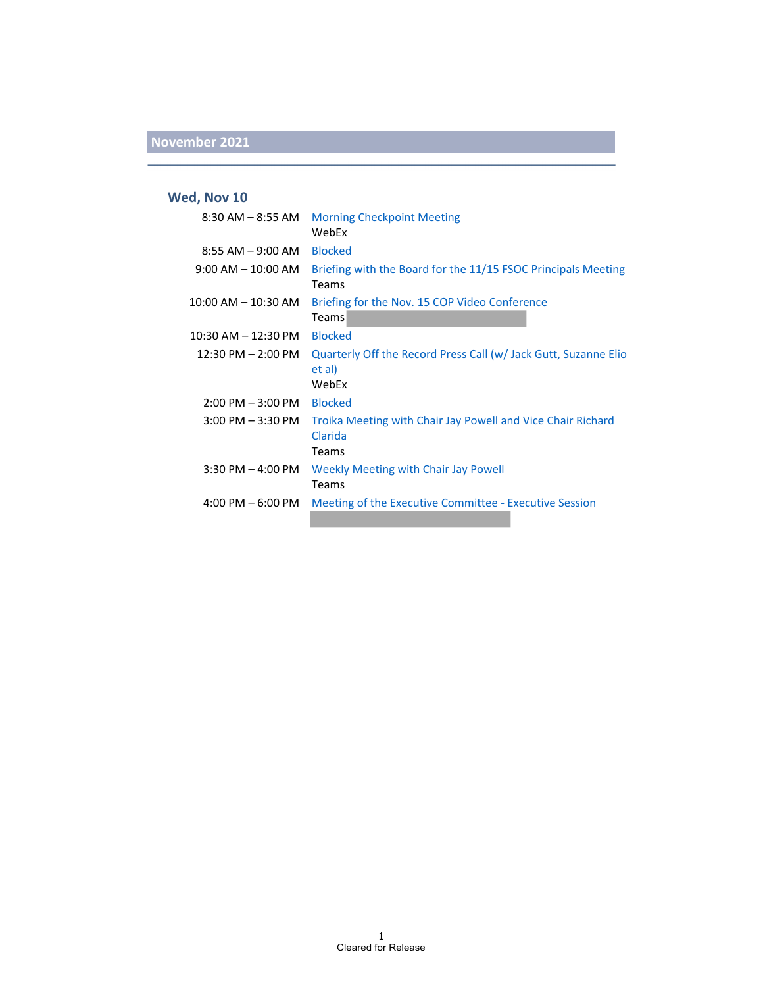### **Wed, Nov 10**

| 8:30 AM – 8:55 AM                   | <b>Morning Checkpoint Meeting</b><br>WebEx                                         |
|-------------------------------------|------------------------------------------------------------------------------------|
| $8:55$ AM $-9:00$ AM                | <b>Blocked</b>                                                                     |
| $9:00$ AM $-$ 10:00 AM              | Briefing with the Board for the 11/15 FSOC Principals Meeting<br>Teams             |
| $10:00$ AM $-$ 10:30 AM             | Briefing for the Nov. 15 COP Video Conference<br>Teams                             |
| $10:30$ AM $- 12:30$ PM             | <b>Blocked</b>                                                                     |
| $12:30$ PM $- 2:00$ PM              | Quarterly Off the Record Press Call (w/ Jack Gutt, Suzanne Elio<br>et al)<br>WebEx |
| $2:00 \text{ PM} - 3:00 \text{ PM}$ | <b>Blocked</b>                                                                     |
| $3:00 \text{ PM} - 3:30 \text{ PM}$ | Troika Meeting with Chair Jay Powell and Vice Chair Richard<br>Clarida<br>Teams    |
| $3:30$ PM $-$ 4:00 PM               | Weekly Meeting with Chair Jay Powell<br>Teams                                      |
| $4:00$ PM $-6:00$ PM                | Meeting of the Executive Committee - Executive Session                             |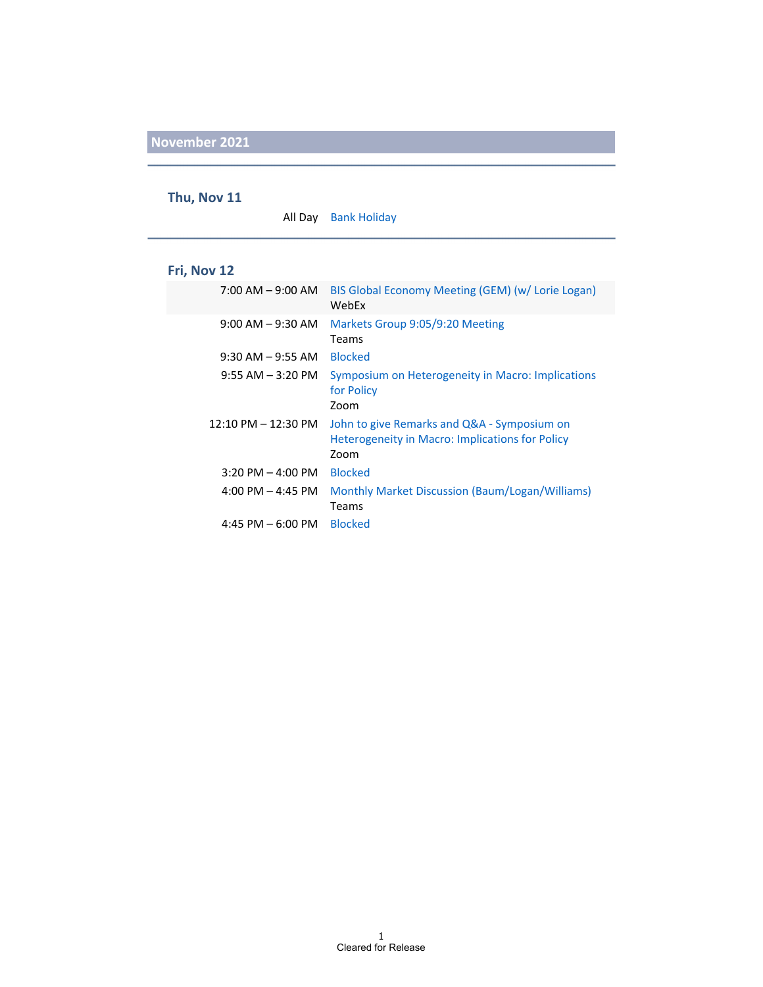#### **Thu, Nov 11**

All Day Bank Holiday

### **Fri, Nov 12**

| $7:00$ AM $-9:00$ AM                | BIS Global Economy Meeting (GEM) (w/ Lorie Logan)<br>WebEx                                             |
|-------------------------------------|--------------------------------------------------------------------------------------------------------|
| $9:00$ AM $-9:30$ AM                | Markets Group 9:05/9:20 Meeting<br>Teams                                                               |
| $9:30$ AM $-9:55$ AM                | <b>Blocked</b>                                                                                         |
| $9:55$ AM $-3:20$ PM                | Symposium on Heterogeneity in Macro: Implications<br>for Policy<br>Zoom                                |
| $12:10$ PM $- 12:30$ PM             | John to give Remarks and Q&A - Symposium on<br>Heterogeneity in Macro: Implications for Policy<br>Zoom |
| $3:20 \text{ PM} - 4:00 \text{ PM}$ | <b>Blocked</b>                                                                                         |
| $4:00$ PM $- 4:45$ PM               | Monthly Market Discussion (Baum/Logan/Williams)<br>Teams                                               |
| $4:45$ PM $-6:00$ PM                | <b>Blocked</b>                                                                                         |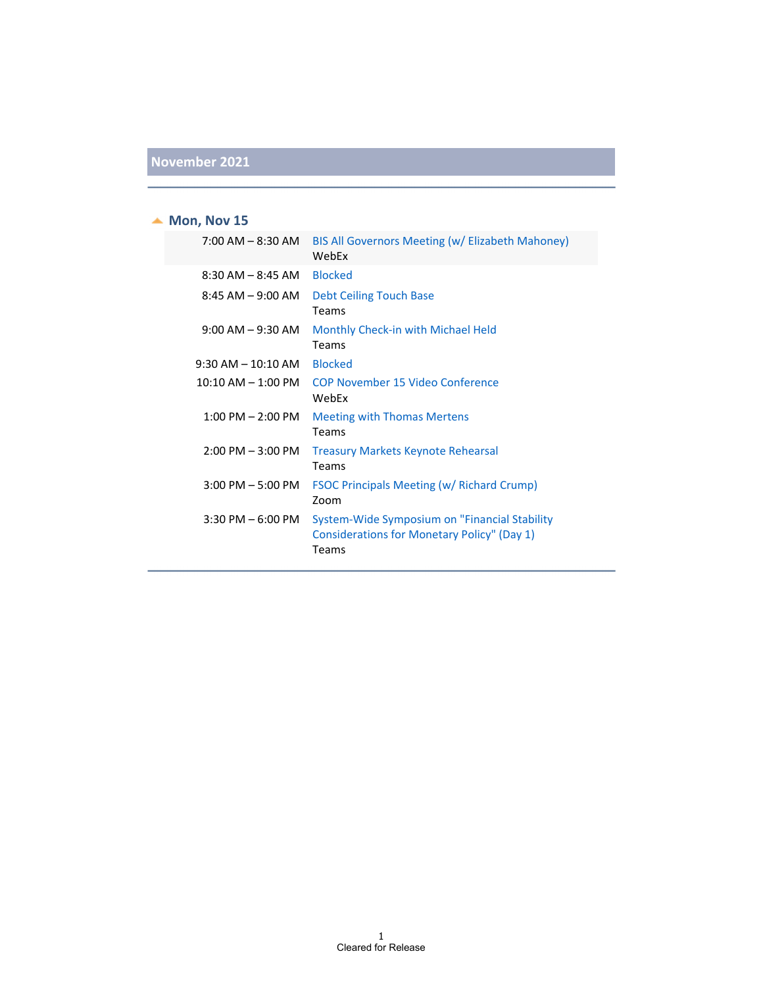#### ▲ **Mon, Nov** 15

| $7:00$ AM $-8:30$ AM   | BIS All Governors Meeting (w/ Elizabeth Mahoney)<br>WebFx                                             |
|------------------------|-------------------------------------------------------------------------------------------------------|
| $8:30$ AM $-8:45$ AM   | <b>Blocked</b>                                                                                        |
| $8:45$ AM $-9:00$ AM   | Debt Ceiling Touch Base<br>Teams                                                                      |
| $9:00$ AM $-9:30$ AM   | Monthly Check-in with Michael Held<br>Teams                                                           |
| $9:30$ AM $- 10:10$ AM | <b>Blocked</b>                                                                                        |
| $10:10$ AM $-$ 1:00 PM | COP November 15 Video Conference<br>WebEx                                                             |
| $1:00$ PM $- 2:00$ PM  | <b>Meeting with Thomas Mertens</b><br>Teams                                                           |
| $2:00$ PM $-3:00$ PM   | <b>Treasury Markets Keynote Rehearsal</b><br>Teams                                                    |
| $3:00$ PM $-5:00$ PM   | <b>FSOC Principals Meeting (w/ Richard Crump)</b><br>Zoom                                             |
| $3:30$ PM $-6:00$ PM   | System-Wide Symposium on "Financial Stability<br>Considerations for Monetary Policy" (Day 1)<br>Teams |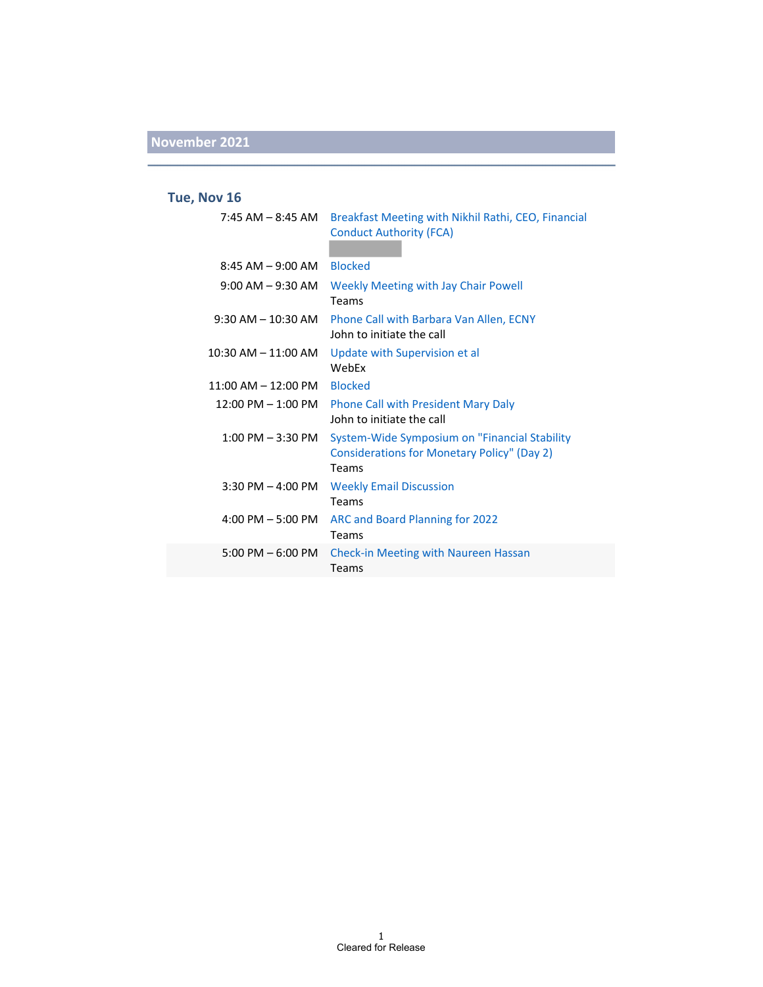### **Tue, Nov 16**

| 7:45 AM – 8:45 AM                    | Breakfast Meeting with Nikhil Rathi, CEO, Financial<br><b>Conduct Authority (FCA)</b>                  |
|--------------------------------------|--------------------------------------------------------------------------------------------------------|
| $8:45$ AM $-9:00$ AM                 | <b>Blocked</b>                                                                                         |
| $9:00$ AM $-9:30$ AM                 | Weekly Meeting with Jay Chair Powell<br>Teams                                                          |
| $9:30$ AM $- 10:30$ AM               | Phone Call with Barbara Van Allen, ECNY<br>John to initiate the call                                   |
| 10:30 AM - 11:00 AM                  | Update with Supervision et al<br>WebFx                                                                 |
| $11:00$ AM $- 12:00$ PM              | <b>Blocked</b>                                                                                         |
| $12:00 \text{ PM} - 1:00 \text{ PM}$ | <b>Phone Call with President Mary Daly</b><br>John to initiate the call                                |
| $1:00$ PM $-3:30$ PM                 | System-Wide Symposium on "Financial Stability"<br>Considerations for Monetary Policy" (Day 2)<br>Teams |
| $3:30$ PM $-$ 4:00 PM                | <b>Weekly Email Discussion</b><br>Teams                                                                |
| $4:00$ PM $-5:00$ PM                 | ARC and Board Planning for 2022<br>Teams                                                               |
| $5:00$ PM $-6:00$ PM                 | <b>Check-in Meeting with Naureen Hassan</b><br>Teams                                                   |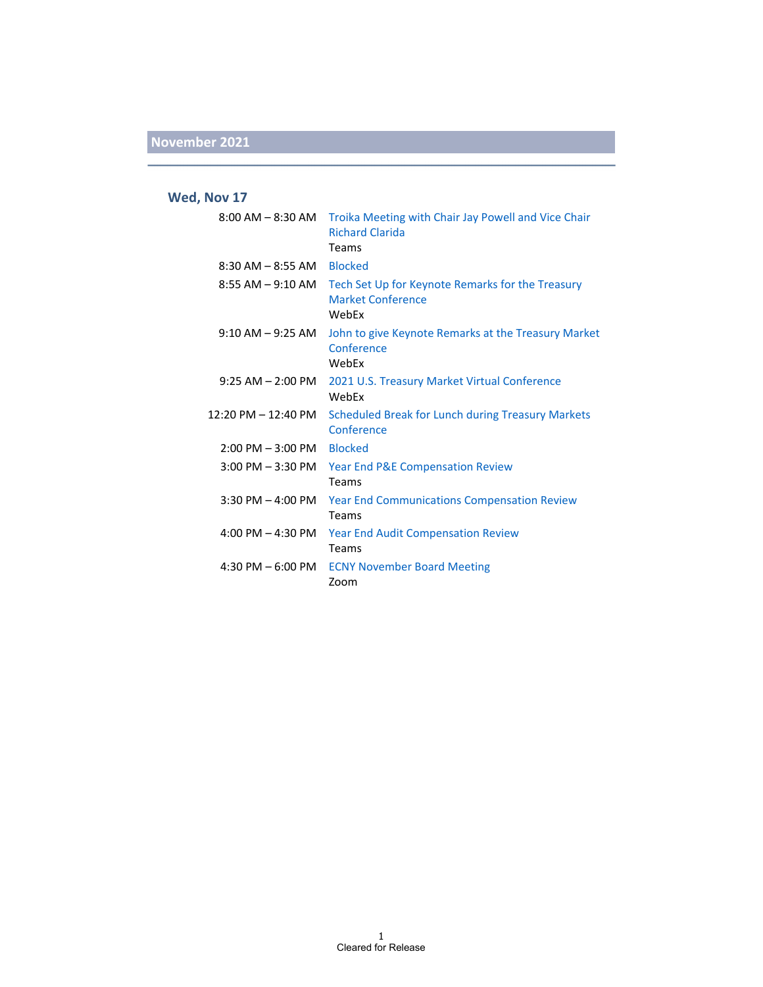### **Wed, Nov 17**

|                       | 8:00 AM - 8:30 AM Troika Meeting with Chair Jay Powell and Vice Chair<br><b>Richard Clarida</b><br>Teams |
|-----------------------|----------------------------------------------------------------------------------------------------------|
| $8:30$ AM $ 8:55$ AM  | <b>Blocked</b>                                                                                           |
| 8:55 AM – 9:10 AM     | Tech Set Up for Keynote Remarks for the Treasury<br><b>Market Conference</b><br>WebFx                    |
| $9:10$ AM $-9:25$ AM  | John to give Keynote Remarks at the Treasury Market<br>Conference<br>WebEx                               |
| $9:25$ AM $- 2:00$ PM | 2021 U.S. Treasury Market Virtual Conference<br>WebFx                                                    |
| 12:20 PM – 12:40 PM   | <b>Scheduled Break for Lunch during Treasury Markets</b><br>Conference                                   |
| $2:00$ PM $-3:00$ PM  | <b>Blocked</b>                                                                                           |
| $3:00$ PM $-3:30$ PM  | <b>Year End P&amp;E Compensation Review</b><br>Teams                                                     |
| $3:30$ PM $-$ 4:00 PM | <b>Year End Communications Compensation Review</b><br>Teams                                              |
| $4:00$ PM $- 4:30$ PM | <b>Year End Audit Compensation Review</b><br>Teams                                                       |
| 4:30 PM $-$ 6:00 PM   | <b>ECNY November Board Meeting</b><br>Zoom                                                               |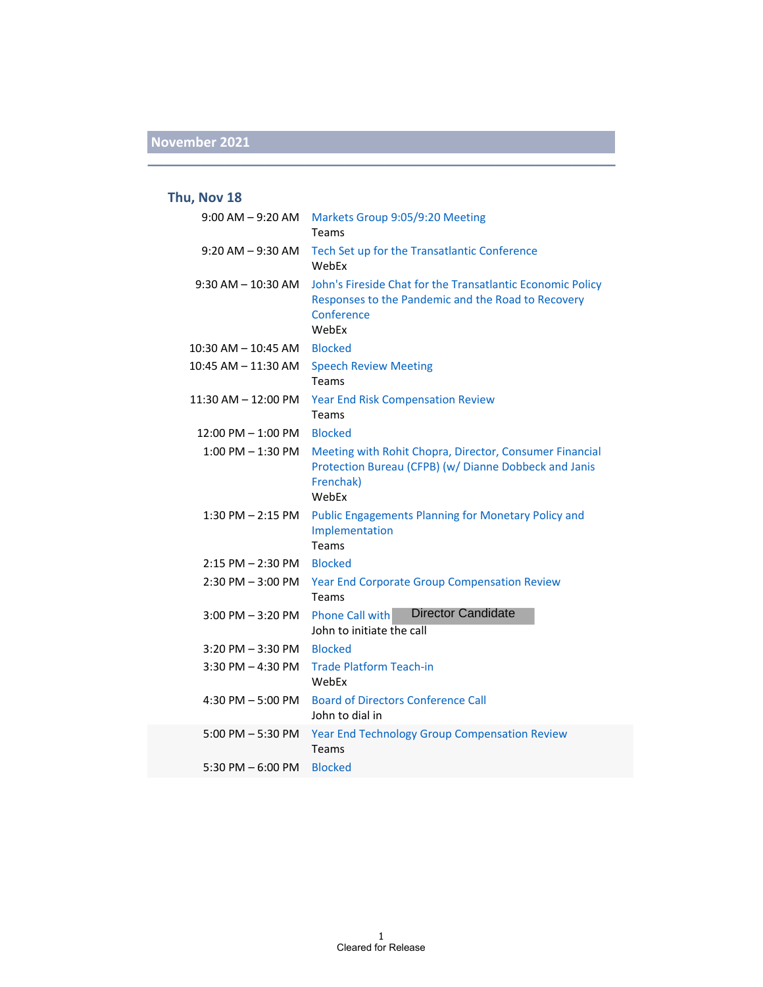### **Thu, Nov 18**

| $9:00$ AM $-9:20$ AM   | Markets Group 9:05/9:20 Meeting<br>Teams                                                                                                |
|------------------------|-----------------------------------------------------------------------------------------------------------------------------------------|
| $9:20$ AM $-9:30$ AM   | Tech Set up for the Transatlantic Conference<br>WebEx                                                                                   |
| $9:30$ AM $- 10:30$ AM | John's Fireside Chat for the Transatlantic Economic Policy<br>Responses to the Pandemic and the Road to Recovery<br>Conference<br>WebEx |
| 10:30 AM - 10:45 AM    | <b>Blocked</b>                                                                                                                          |
| 10:45 AM - 11:30 AM    | <b>Speech Review Meeting</b><br>Teams                                                                                                   |
| 11:30 AM - 12:00 PM    | <b>Year End Risk Compensation Review</b><br>Teams                                                                                       |
| $12:00$ PM $- 1:00$ PM | <b>Blocked</b>                                                                                                                          |
| $1:00$ PM $-1:30$ PM   | Meeting with Rohit Chopra, Director, Consumer Financial<br>Protection Bureau (CFPB) (w/ Dianne Dobbeck and Janis<br>Frenchak)<br>WebEx  |
| 1:30 PM – 2:15 PM      | <b>Public Engagements Planning for Monetary Policy and</b><br>Implementation<br>Teams                                                   |
| $2:15$ PM $- 2:30$ PM  | <b>Blocked</b>                                                                                                                          |
| 2:30 PM - 3:00 PM      | <b>Year End Corporate Group Compensation Review</b><br>Teams                                                                            |
| $3:00$ PM $-3:20$ PM   | <b>Director Candidate</b><br><b>Phone Call with</b><br>John to initiate the call                                                        |
| $3:20$ PM $-3:30$ PM   | <b>Blocked</b>                                                                                                                          |
| $3:30$ PM $- 4:30$ PM  | <b>Trade Platform Teach-in</b><br>WebEx                                                                                                 |
| 4:30 PM $-$ 5:00 PM    | <b>Board of Directors Conference Call</b><br>John to dial in                                                                            |
| 5:00 PM - 5:30 PM      | <b>Year End Technology Group Compensation Review</b><br>Teams                                                                           |
| 5:30 PM $-$ 6:00 PM    | <b>Blocked</b>                                                                                                                          |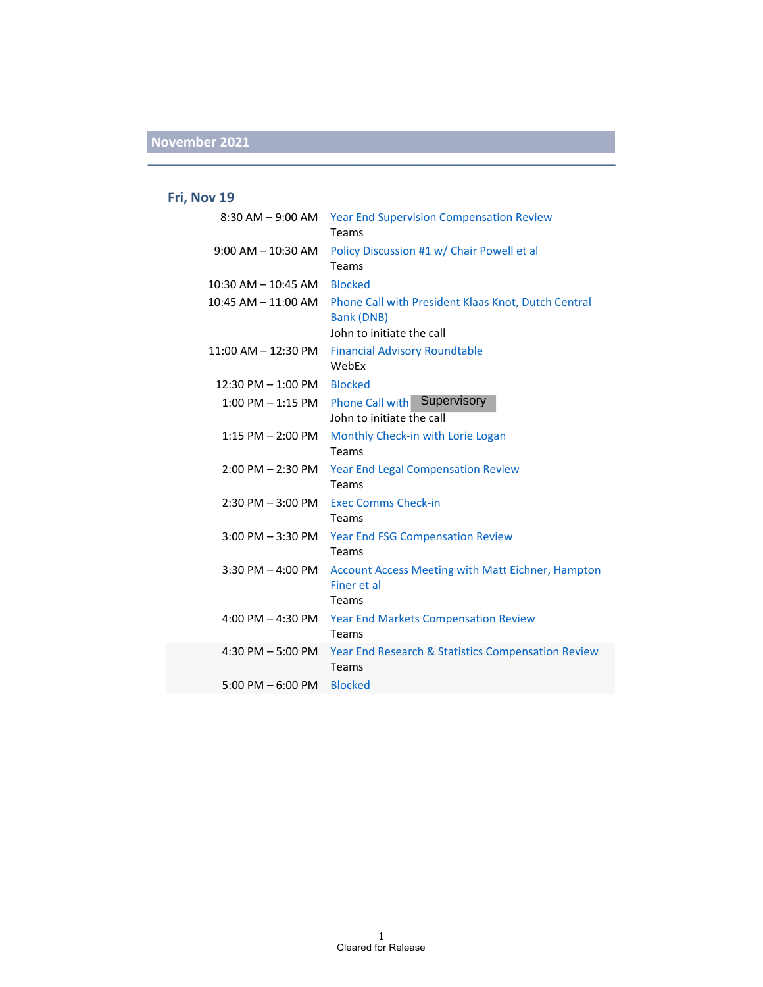### **Fri, Nov 19**

|                         | 8:30 AM - 9:00 AM Year End Supervision Compensation Review<br>Teams                                   |
|-------------------------|-------------------------------------------------------------------------------------------------------|
| $9:00$ AM $-10:30$ AM   | Policy Discussion #1 w/ Chair Powell et al<br>Teams                                                   |
| $10:30$ AM $- 10:45$ AM | <b>Blocked</b>                                                                                        |
| $10:45$ AM $- 11:00$ AM | Phone Call with President Klaas Knot, Dutch Central<br><b>Bank (DNB)</b><br>John to initiate the call |
| 11:00 AM - 12:30 PM     | <b>Financial Advisory Roundtable</b><br>WebFx                                                         |
| $12:30$ PM $- 1:00$ PM  | <b>Blocked</b>                                                                                        |
|                         | 1:00 PM - 1:15 PM Phone Call with Supervisory<br>John to initiate the call                            |
| $1:15$ PM $- 2:00$ PM   | Monthly Check-in with Lorie Logan<br>Teams                                                            |
| $2:00$ PM $-2:30$ PM    | <b>Year End Legal Compensation Review</b><br>Teams                                                    |
| $2:30$ PM $-3:00$ PM    | <b>Exec Comms Check-in</b><br>Teams                                                                   |
| $3:00$ PM $-3:30$ PM    | <b>Year End FSG Compensation Review</b><br>Teams                                                      |
| $3:30$ PM $-$ 4:00 PM   | <b>Account Access Meeting with Matt Eichner, Hampton</b><br>Finer et al<br>Teams                      |
| $4:00$ PM $- 4:30$ PM   | <b>Year End Markets Compensation Review</b><br>Teams                                                  |
| 4:30 PM $-$ 5:00 PM     | Year End Research & Statistics Compensation Review<br>Teams                                           |
| $5:00$ PM $-6:00$ PM    | <b>Blocked</b>                                                                                        |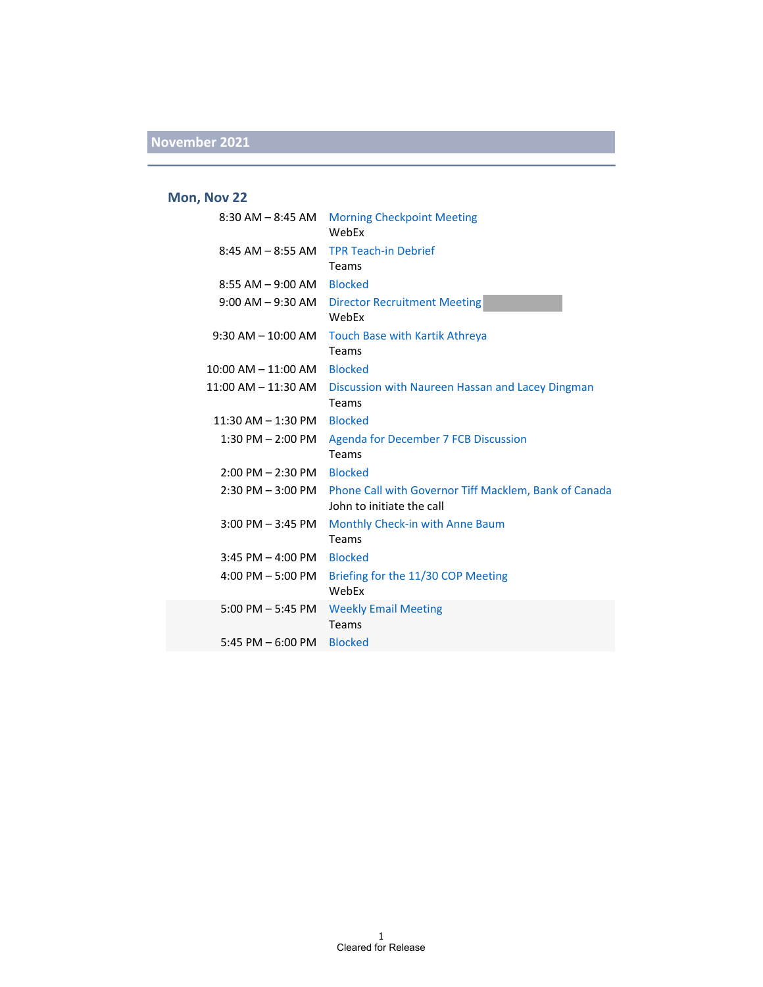### **Mon, Nov 22**

| $8:30$ AM $-8:45$ AM        | <b>Morning Checkpoint Meeting</b><br>WebFx                                                           |
|-----------------------------|------------------------------------------------------------------------------------------------------|
| $8:45$ AM $-8:55$ AM        | <b>TPR Teach-in Debrief</b>                                                                          |
|                             | Teams                                                                                                |
| $8:55$ AM $-9:00$ AM        | <b>Blocked</b>                                                                                       |
|                             | 9:00 AM - 9:30 AM   Director Recruitment Meeting<br>WebFx                                            |
| $9:30$ AM $-$ 10:00 AM      | Touch Base with Kartik Athreya<br>Teams                                                              |
| 10:00 AM - 11:00 AM Blocked |                                                                                                      |
|                             | 11:00 AM - 11:30 AM Discussion with Naureen Hassan and Lacey Dingman<br>Teams                        |
| $11:30$ AM $- 1:30$ PM      | <b>Blocked</b>                                                                                       |
| $1:30$ PM $- 2:00$ PM       | Agenda for December 7 FCB Discussion<br>Teams                                                        |
| $2:00$ PM $- 2:30$ PM       | <b>Blocked</b>                                                                                       |
|                             | 2:30 PM - 3:00 PM Phone Call with Governor Tiff Macklem, Bank of Canada<br>John to initiate the call |
| $3:00$ PM $-3:45$ PM        | Monthly Check-in with Anne Baum<br>Teams                                                             |
| $3:45$ PM $-$ 4:00 PM       | <b>Blocked</b>                                                                                       |
| 4:00 PM - 5:00 PM           | Briefing for the 11/30 COP Meeting<br>WebEx                                                          |
| $5:00$ PM $-5:45$ PM        | <b>Weekly Email Meeting</b><br>Teams                                                                 |
| 5:45 PM $-$ 6:00 PM         | <b>Blocked</b>                                                                                       |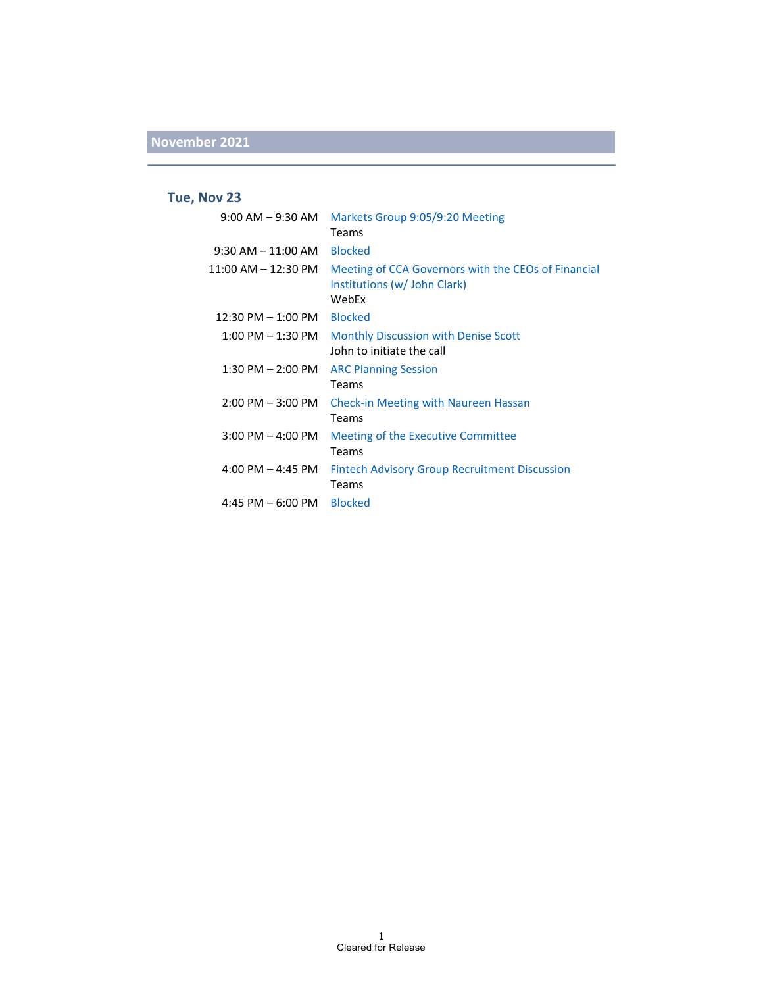### **Tue, Nov 23**

| $9:00$ AM $-9:30$ AM   | Markets Group 9:05/9:20 Meeting<br>Teams                                                     |
|------------------------|----------------------------------------------------------------------------------------------|
| $9:30$ AM $-11:00$ AM  | <b>Blocked</b>                                                                               |
| $11:00$ AM $-12:30$ PM | Meeting of CCA Governors with the CEOs of Financial<br>Institutions (w/ John Clark)<br>WebFx |
| 12:30 PM - 1:00 PM     | <b>Blocked</b>                                                                               |
| 1:00 PM – 1:30 PM      | <b>Monthly Discussion with Denise Scott</b><br>John to initiate the call                     |
| $1:30$ PM $- 2:00$ PM  | <b>ARC Planning Session</b><br>Teams                                                         |
| $2:00$ PM $-3:00$ PM   | <b>Check-in Meeting with Naureen Hassan</b><br>Teams                                         |
| $3:00$ PM $-$ 4:00 PM  | Meeting of the Executive Committee<br>Teams                                                  |
| $4:00$ PM $-4:45$ PM   | <b>Fintech Advisory Group Recruitment Discussion</b><br>Teams                                |
| 4:45 PM $-6:00$ PM     | <b>Blocked</b>                                                                               |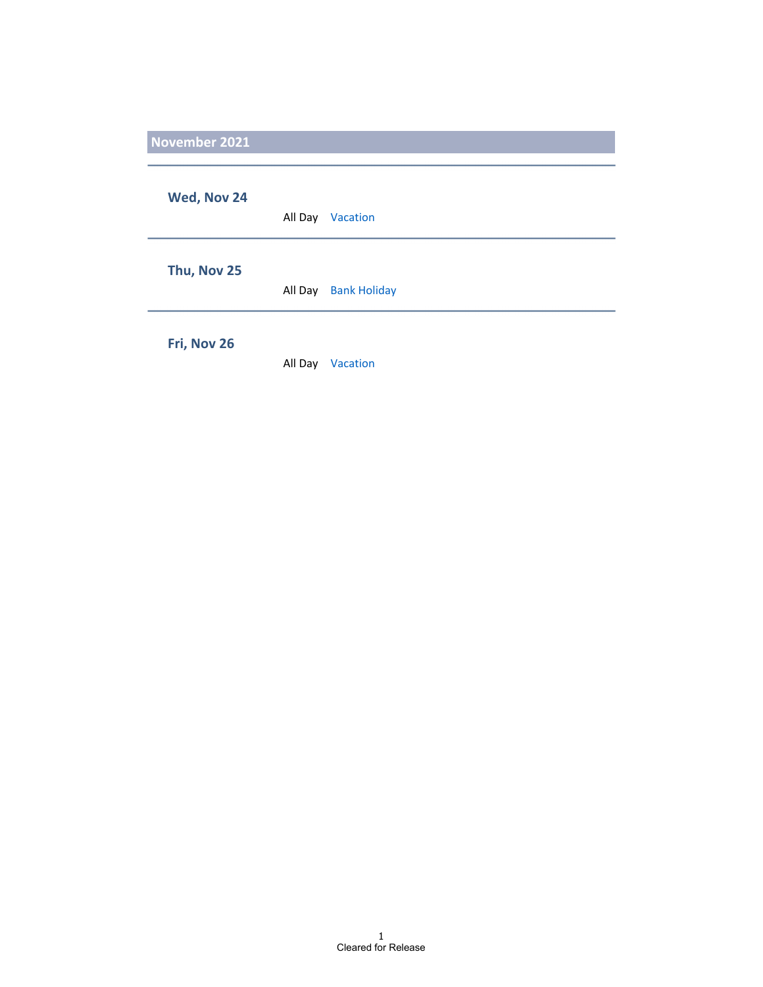**Wed, Nov 24**

All Day Vacation

**Thu, Nov 25**

All Day Bank Holiday

**Fri, Nov 26**

All Day Vacation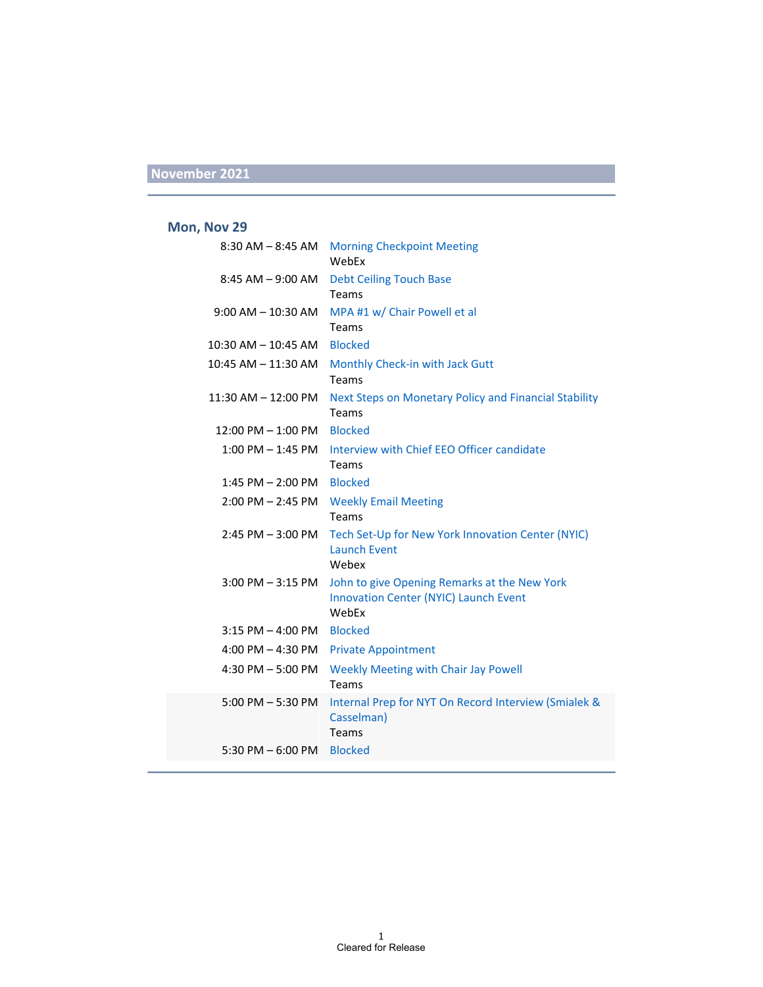#### **Mon, Nov 29**

| $8:30$ AM $-$ 8:45 AM  | <b>Morning Checkpoint Meeting</b><br>WebEx                                                            |
|------------------------|-------------------------------------------------------------------------------------------------------|
| $8:45$ AM $-9:00$ AM   | <b>Debt Ceiling Touch Base</b><br>Teams                                                               |
| $9:00$ AM $- 10:30$ AM | MPA #1 w/ Chair Powell et al<br>Teams                                                                 |
| 10:30 AM - 10:45 AM    | <b>Blocked</b>                                                                                        |
| 10:45 AM - 11:30 AM    | Monthly Check-in with Jack Gutt<br>Teams                                                              |
| 11:30 AM - 12:00 PM    | Next Steps on Monetary Policy and Financial Stability<br>Teams                                        |
| $12:00$ PM $- 1:00$ PM | <b>Blocked</b>                                                                                        |
|                        | 1:00 PM - 1:45 PM Interview with Chief EEO Officer candidate<br>Teams                                 |
| $1:45$ PM $- 2:00$ PM  | <b>Blocked</b>                                                                                        |
| $2:00$ PM $- 2:45$ PM  | <b>Weekly Email Meeting</b><br>Teams                                                                  |
| $2:45$ PM $-3:00$ PM   | Tech Set-Up for New York Innovation Center (NYIC)<br><b>Launch Event</b><br>Webex                     |
| $3:00$ PM $-3:15$ PM   | John to give Opening Remarks at the New York<br><b>Innovation Center (NYIC) Launch Event</b><br>WebEx |
| $3:15$ PM $-$ 4:00 PM  | <b>Blocked</b>                                                                                        |
| 4:00 PM $-$ 4:30 PM    | <b>Private Appointment</b>                                                                            |
| 4:30 PM $-$ 5:00 PM    | <b>Weekly Meeting with Chair Jay Powell</b><br>Teams                                                  |
| $5:00$ PM $-5:30$ PM   | Internal Prep for NYT On Record Interview (Smialek &<br>Casselman)<br>Teams                           |
| 5:30 PM $-$ 6:00 PM    | <b>Blocked</b>                                                                                        |
|                        |                                                                                                       |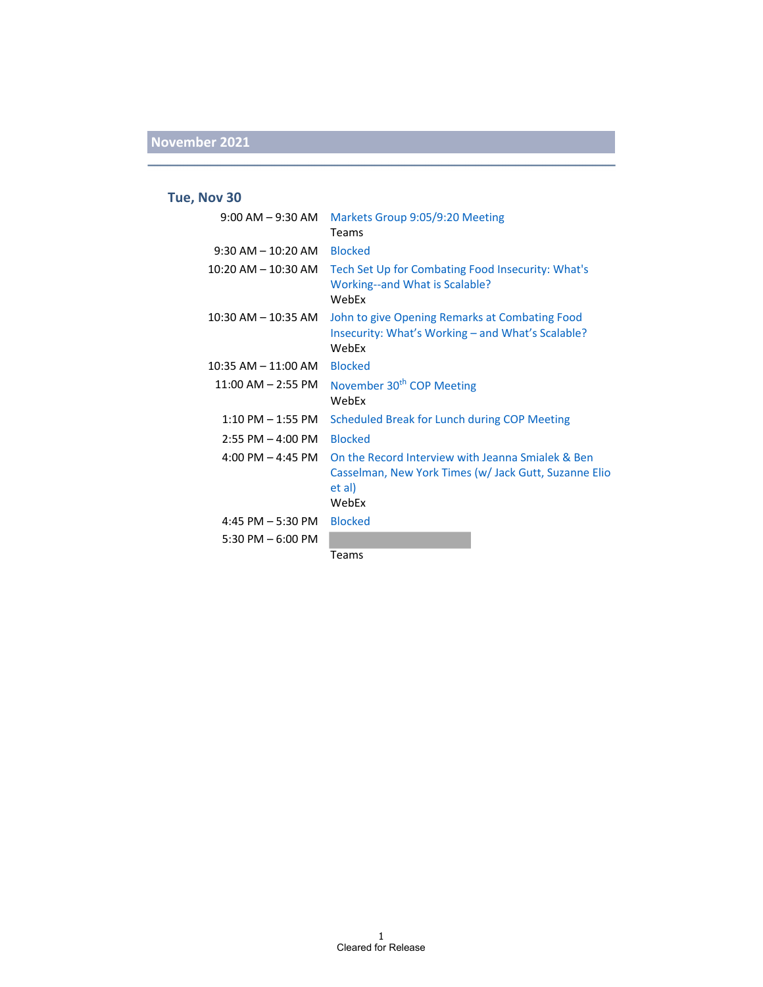### **Tue, Nov 30**

| $9:00$ AM $-9:30$ AM                | Markets Group 9:05/9:20 Meeting<br>Teams                                                                                      |
|-------------------------------------|-------------------------------------------------------------------------------------------------------------------------------|
| $9:30$ AM $- 10:20$ AM              | <b>Blocked</b>                                                                                                                |
| $10:20$ AM $- 10:30$ AM             | Tech Set Up for Combating Food Insecurity: What's<br>Working--and What is Scalable?<br>WebFx                                  |
| $10:30$ AM $- 10:35$ AM             | John to give Opening Remarks at Combating Food<br>Insecurity: What's Working - and What's Scalable?<br>WebEx                  |
| $10:35$ AM $- 11:00$ AM             | <b>Blocked</b>                                                                                                                |
| $11:00$ AM $-$ 2:55 PM              | November 30 <sup>th</sup> COP Meeting<br>WebFx                                                                                |
| $1:10$ PM $-$ 1:55 PM               | Scheduled Break for Lunch during COP Meeting                                                                                  |
| $2:55$ PM $-$ 4:00 PM               | <b>Blocked</b>                                                                                                                |
| $4:00 \text{ PM} - 4:45 \text{ PM}$ | On the Record Interview with Jeanna Smialek & Ben<br>Casselman, New York Times (w/ Jack Gutt, Suzanne Elio<br>et al)<br>WebEx |
| 4:45 PM $-$ 5:30 PM                 | <b>Blocked</b>                                                                                                                |
| $5:30 \text{ PM} - 6:00 \text{ PM}$ |                                                                                                                               |
|                                     | Teams                                                                                                                         |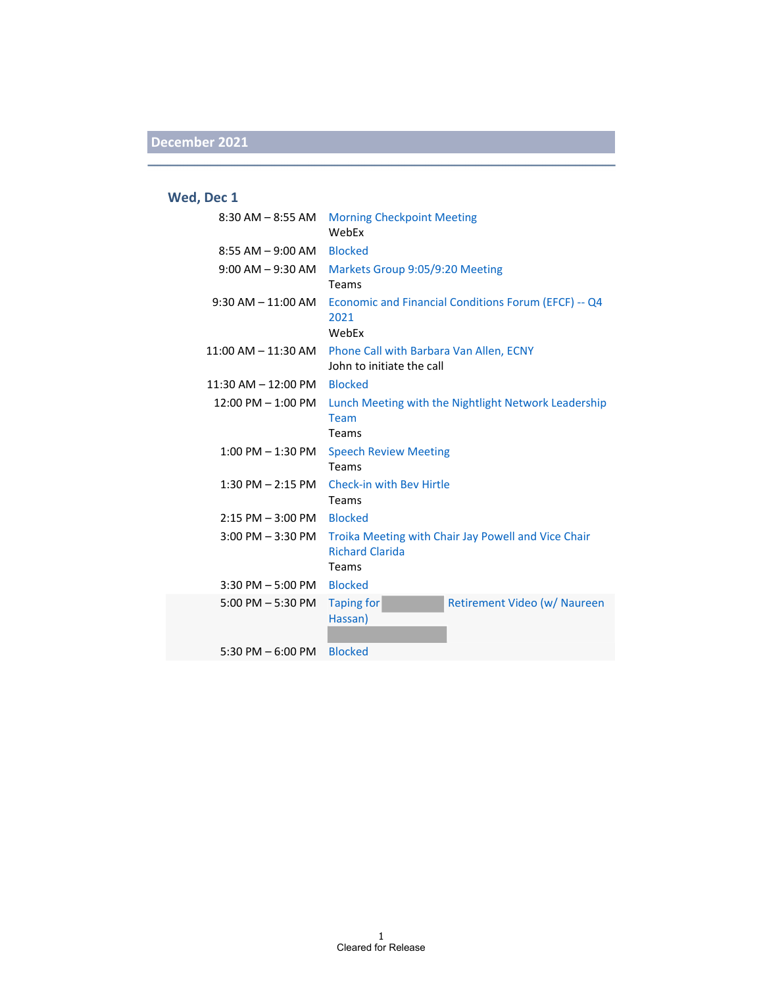### **Wed, Dec 1**

| $8:30$ AM $-$ 8:55 AM                | <b>Morning Checkpoint Meeting</b><br>WebEx                                             |
|--------------------------------------|----------------------------------------------------------------------------------------|
| $8:55$ AM $-9:00$ AM                 | <b>Blocked</b>                                                                         |
| $9:00$ AM $-9:30$ AM                 | Markets Group 9:05/9:20 Meeting<br>Teams                                               |
| $9:30$ AM $-11:00$ AM                | Economic and Financial Conditions Forum (EFCF) -- Q4<br>2021<br>WebEx                  |
| $11:00$ AM $ 11:30$ AM               | Phone Call with Barbara Van Allen, ECNY<br>John to initiate the call                   |
| 11:30 AM – 12:00 PM                  | <b>Blocked</b>                                                                         |
| $12:00 \text{ PM} - 1:00 \text{ PM}$ | Lunch Meeting with the Nightlight Network Leadership<br><b>Team</b><br>Teams           |
| $1:00$ PM $-1:30$ PM                 | <b>Speech Review Meeting</b><br>Teams                                                  |
| $1:30$ PM $- 2:15$ PM                | Check-in with Bey Hirtle<br>Teams                                                      |
| $2:15$ PM $-3:00$ PM                 | <b>Blocked</b>                                                                         |
| 3:00 PM - 3:30 PM                    | Troika Meeting with Chair Jay Powell and Vice Chair<br><b>Richard Clarida</b><br>Teams |
| $3:30$ PM $-5:00$ PM                 | <b>Blocked</b>                                                                         |
| $5:00$ PM $-5:30$ PM                 | <b>Taping for</b><br>Retirement Video (w/ Naureen<br>Hassan)                           |
| 5:30 PM $-$ 6:00 PM                  | <b>Blocked</b>                                                                         |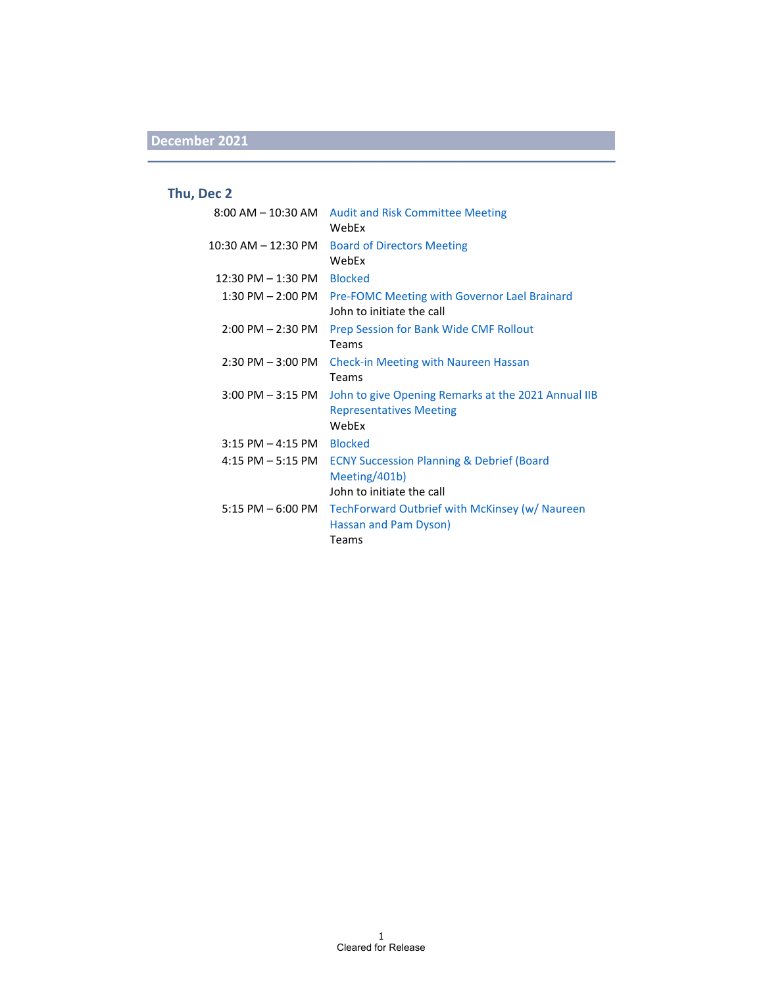#### **Thu, Dec 2**

|                       | 8:00 AM - 10:30 AM Audit and Risk Committee Meeting<br>WebFx                                       |
|-----------------------|----------------------------------------------------------------------------------------------------|
| 10:30 AM – 12:30 PM   | <b>Board of Directors Meeting</b><br>WebFx                                                         |
| 12:30 PM – 1:30 PM    | <b>Blocked</b>                                                                                     |
|                       | 1:30 PM – 2:00 PM Pre-FOMC Meeting with Governor Lael Brainard<br>John to initiate the call        |
| $2:00$ PM $- 2:30$ PM | Prep Session for Bank Wide CMF Rollout<br>Teams                                                    |
| $2:30$ PM $-3:00$ PM  | <b>Check-in Meeting with Naureen Hassan</b><br><b>Teams</b>                                        |
| $3:00$ PM $-3:15$ PM  | John to give Opening Remarks at the 2021 Annual IIB<br><b>Representatives Meeting</b><br>WebFx     |
| $3:15$ PM $-$ 4:15 PM | <b>Blocked</b>                                                                                     |
| $4:15$ PM $-5:15$ PM  | <b>ECNY Succession Planning &amp; Debrief (Board</b><br>Meeting/401b)<br>John to initiate the call |
| $5:15$ PM $-6:00$ PM  | TechForward Outbrief with McKinsey (w/ Naureen<br>Hassan and Pam Dyson)<br>Teams                   |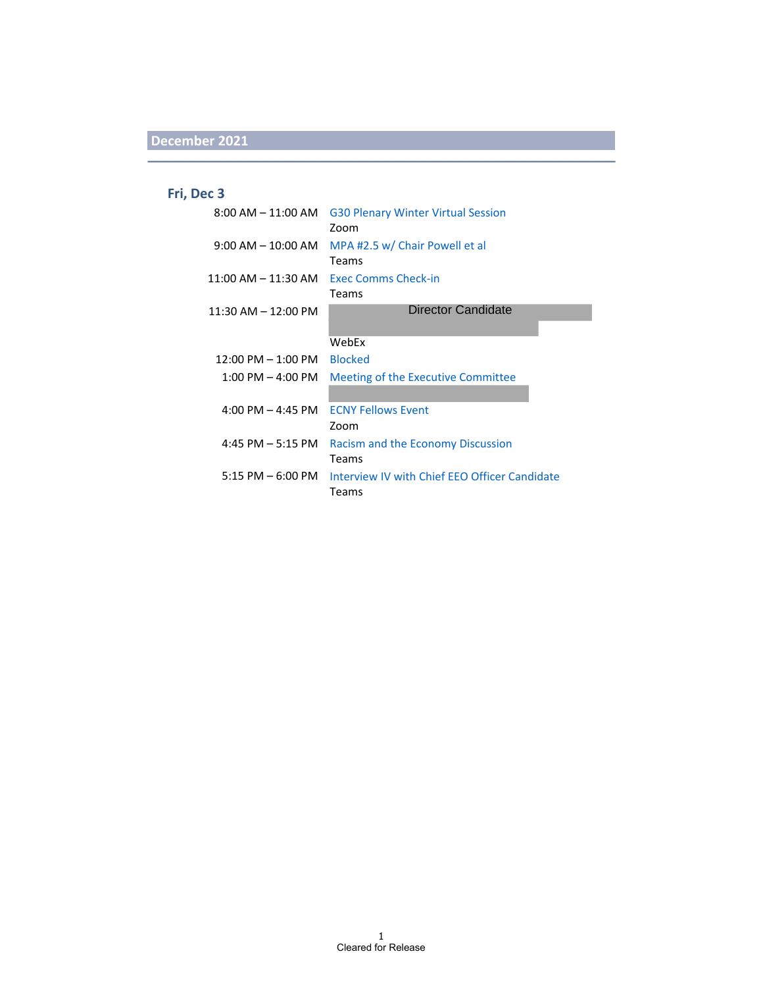### **Fri, Dec 3**

| $8:00$ AM $-$ 11:00 AM | <b>G30 Plenary Winter Virtual Session</b><br>Zoom |
|------------------------|---------------------------------------------------|
| $9:00$ AM $-$ 10:00 AM | MPA #2.5 w/ Chair Powell et al<br><b>Teams</b>    |
| $11:00$ AM $-11:30$ AM | Exec Comms Check-in<br>Teams                      |
| $11:30$ AM $-12:00$ PM | Director Candidate                                |
|                        | WebEx                                             |
| 12:00 PM - 1:00 PM     | <b>Blocked</b>                                    |
| $1:00$ PM $-$ 4:00 PM  | Meeting of the Executive Committee                |
|                        |                                                   |
| 4:00 PM $-$ 4:45 PM    | <b>FCNY Fellows Event</b>                         |
|                        | Zoom                                              |
| $4:45$ PM $-5:15$ PM   | Racism and the Economy Discussion                 |
|                        | <b>Teams</b>                                      |
| $5:15$ PM $-6:00$ PM   | Interview IV with Chief EEO Officer Candidate     |
|                        | <b>Teams</b>                                      |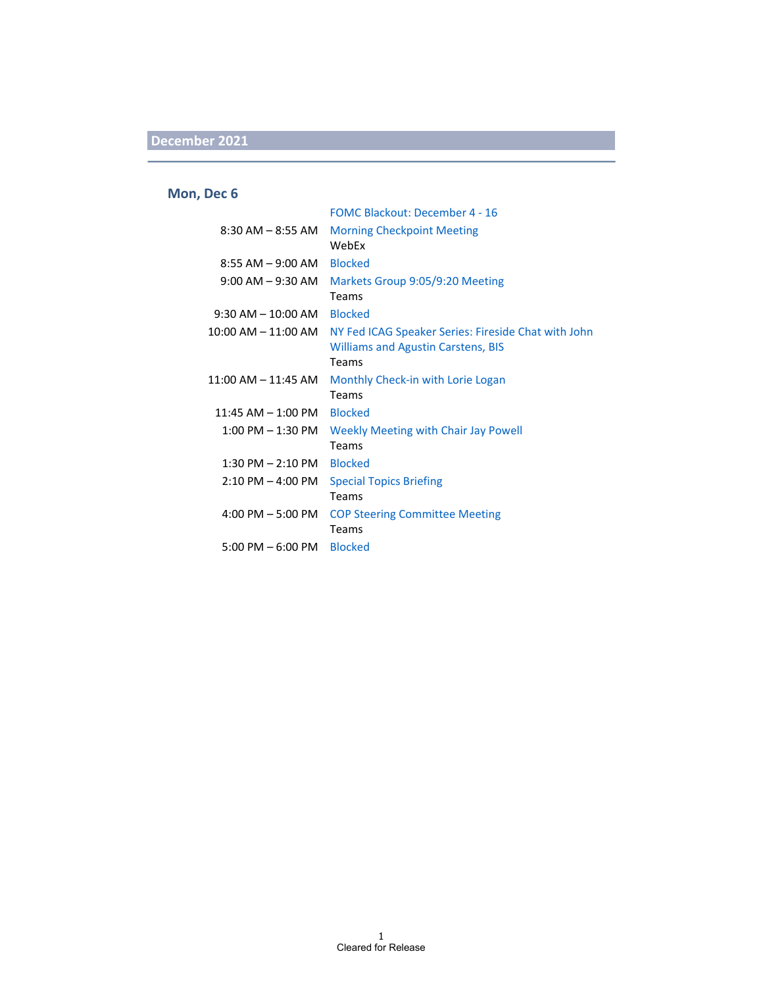#### **Mon, Dec 6**

|                                     | <b>FOMC Blackout: December 4 - 16</b>                                                                     |
|-------------------------------------|-----------------------------------------------------------------------------------------------------------|
| $8:30$ AM $-8:55$ AM                | <b>Morning Checkpoint Meeting</b><br>WebFx                                                                |
| $8:55$ AM $-9:00$ AM                | <b>Blocked</b>                                                                                            |
| $9:00$ AM $-9:30$ AM                | Markets Group 9:05/9:20 Meeting<br>Teams                                                                  |
| $9:30$ AM $-$ 10:00 AM              | <b>Blocked</b>                                                                                            |
| $10:00$ AM $- 11:00$ AM             | NY Fed ICAG Speaker Series: Fireside Chat with John<br><b>Williams and Agustin Carstens, BIS</b><br>Teams |
| $11:00$ AM $- 11:45$ AM             | Monthly Check-in with Lorie Logan<br>Teams                                                                |
| $11:45$ AM $- 1:00$ PM              | <b>Blocked</b>                                                                                            |
| $1:00$ PM $-1:30$ PM                | <b>Weekly Meeting with Chair Jay Powell</b><br>Teams                                                      |
| $1:30$ PM $- 2:10$ PM               | <b>Blocked</b>                                                                                            |
| $2:10 \text{ PM} - 4:00 \text{ PM}$ | <b>Special Topics Briefing</b><br>Teams                                                                   |
| $4:00$ PM $-5:00$ PM                | <b>COP Steering Committee Meeting</b><br>Teams                                                            |
| $5:00 \text{ PM} - 6:00 \text{ PM}$ | <b>Blocked</b>                                                                                            |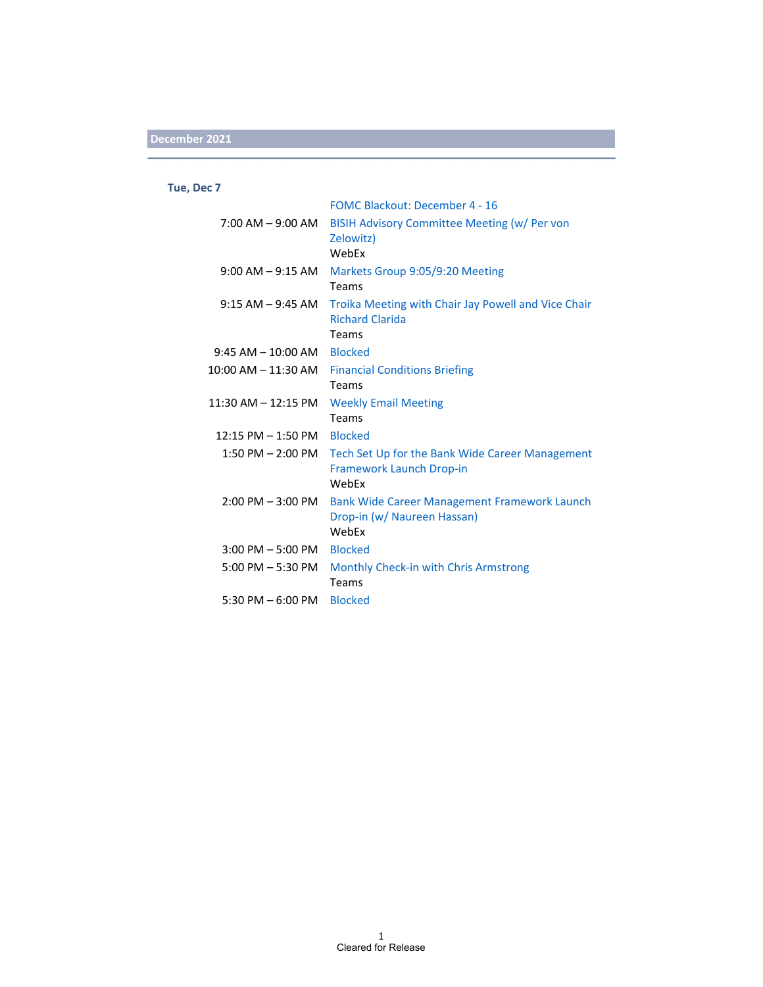#### **Tue, Dec 7**

|                                | <b>FOMC Blackout: December 4 - 16</b>                                 |
|--------------------------------|-----------------------------------------------------------------------|
| 7:00 AM – 9:00 AM              | BISIH Advisory Committee Meeting (w/ Per von                          |
|                                | Zelowitz)                                                             |
|                                | WebEx                                                                 |
|                                | 9:00 AM - 9:15 AM Markets Group 9:05/9:20 Meeting                     |
|                                | Teams                                                                 |
|                                | 9:15 AM - 9:45 AM Troika Meeting with Chair Jay Powell and Vice Chair |
|                                | <b>Richard Clarida</b>                                                |
|                                | Teams                                                                 |
| $9:45$ AM $-$ 10:00 AM Blocked |                                                                       |
|                                | 10:00 AM - 11:30 AM Financial Conditions Briefing                     |
|                                | Teams                                                                 |
|                                | 11:30 AM - 12:15 PM Weekly Email Meeting                              |
|                                | Teams                                                                 |
| $12:15$ PM $-1:50$ PM Blocked  |                                                                       |
|                                | 1:50 PM – 2:00 PM Tech Set Up for the Bank Wide Career Management     |
|                                | Framework Launch Drop-in                                              |
|                                | WebFx                                                                 |
|                                | 2:00 PM - 3:00 PM Bank Wide Career Management Framework Launch        |
|                                | Drop-in (w/ Naureen Hassan)                                           |
|                                | WebEx                                                                 |
| 3:00 PM - 5:00 PM Blocked      |                                                                       |
|                                | 5:00 PM - 5:30 PM Monthly Check-in with Chris Armstrong               |
|                                | Teams                                                                 |
| 5:30 PM $-$ 6:00 PM            | <b>Blocked</b>                                                        |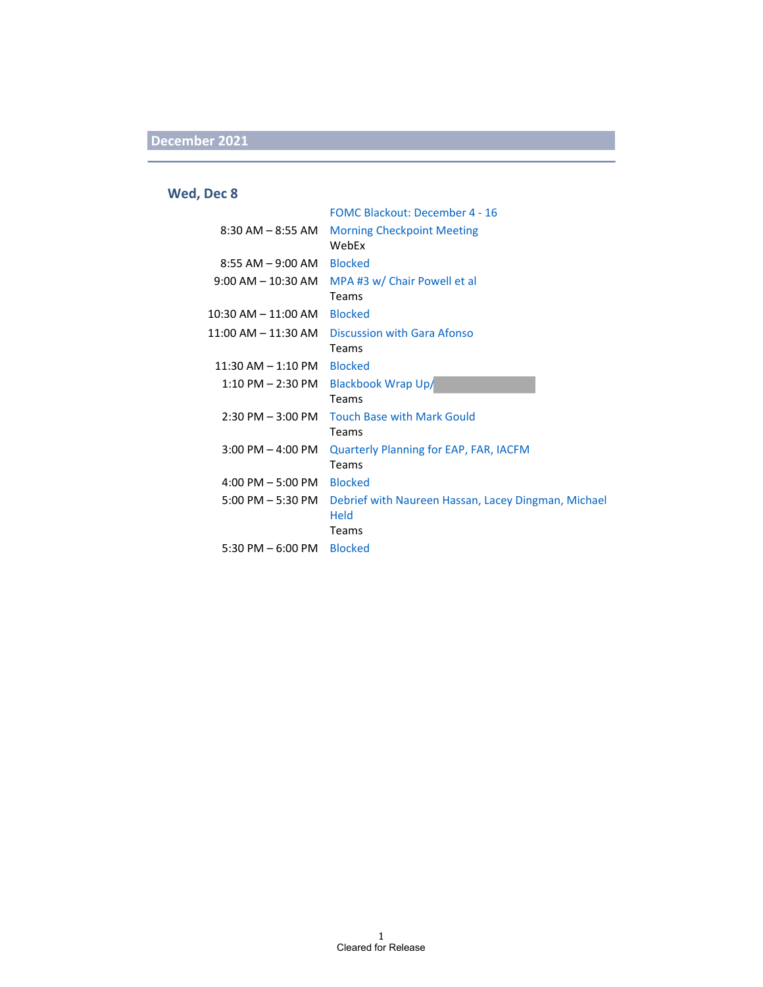#### **Wed, Dec 8**

|                                     | <b>FOMC Blackout: December 4 - 16</b>                       |
|-------------------------------------|-------------------------------------------------------------|
| 8:30 AM – 8:55 AM                   | <b>Morning Checkpoint Meeting</b><br>WebEx                  |
| $8:55$ AM $-9:00$ AM                | <b>Blocked</b>                                              |
| $9:00$ AM $-$ 10:30 AM              | MPA#3 w/ Chair Powell et al<br>Teams                        |
| 10:30 AM - 11:00 AM                 | <b>Blocked</b>                                              |
| $11:00$ AM $-11:30$ AM              | Discussion with Gara Afonso<br>Teams                        |
| $11:30$ AM $- 1:10$ PM              | <b>Blocked</b>                                              |
| $1:10$ PM $- 2:30$ PM               | <b>Blackbook Wrap Up/</b><br>Teams                          |
| $2:30$ PM $-3:00$ PM                | <b>Touch Base with Mark Gould</b><br>Teams                  |
| $3:00$ PM $-$ 4:00 PM               | Quarterly Planning for EAP, FAR, IACFM<br>Teams             |
| $4:00$ PM $-5:00$ PM                | <b>Blocked</b>                                              |
| $5:00 \text{ PM} - 5:30 \text{ PM}$ | Debrief with Naureen Hassan, Lacey Dingman, Michael<br>Held |
|                                     | Teams                                                       |
| 5:30 PM $-$ 6:00 PM                 | <b>Blocked</b>                                              |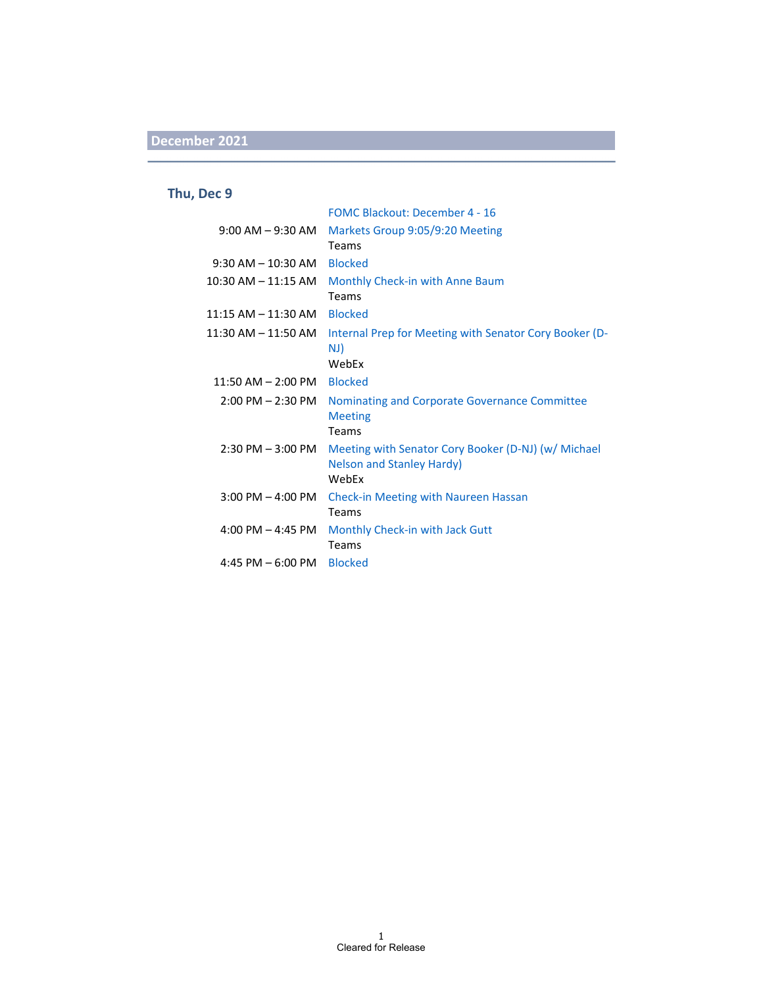#### **Thu, Dec 9**

|                         | <b>FOMC Blackout: December 4 - 16</b>                                                            |
|-------------------------|--------------------------------------------------------------------------------------------------|
| $9:00$ AM $-9:30$ AM    | Markets Group 9:05/9:20 Meeting                                                                  |
|                         | Teams                                                                                            |
| $9:30$ AM $- 10:30$ AM  | <b>Blocked</b>                                                                                   |
| $10:30$ AM $- 11:15$ AM | Monthly Check-in with Anne Baum<br>Teams                                                         |
| $11:15$ AM $-11:30$ AM  | <b>Blocked</b>                                                                                   |
| $11:30$ AM $-11:50$ AM  | Internal Prep for Meeting with Senator Cory Booker (D-<br>NJ)<br>WebEx                           |
| $11:50$ AM $- 2:00$ PM  | <b>Blocked</b>                                                                                   |
| $2:00$ PM $- 2:30$ PM   | Nominating and Corporate Governance Committee<br><b>Meeting</b><br><b>Teams</b>                  |
| $2:30$ PM $-3:00$ PM    | Meeting with Senator Cory Booker (D-NJ) (w/ Michael<br><b>Nelson and Stanley Hardy)</b><br>WebFx |
| $3:00$ PM $-$ 4:00 PM   | <b>Check-in Meeting with Naureen Hassan</b><br>Teams                                             |
| 4:00 PM $-$ 4:45 PM     | Monthly Check-in with Jack Gutt<br>Teams                                                         |
| 4:45 PM $-6:00$ PM      | <b>Blocked</b>                                                                                   |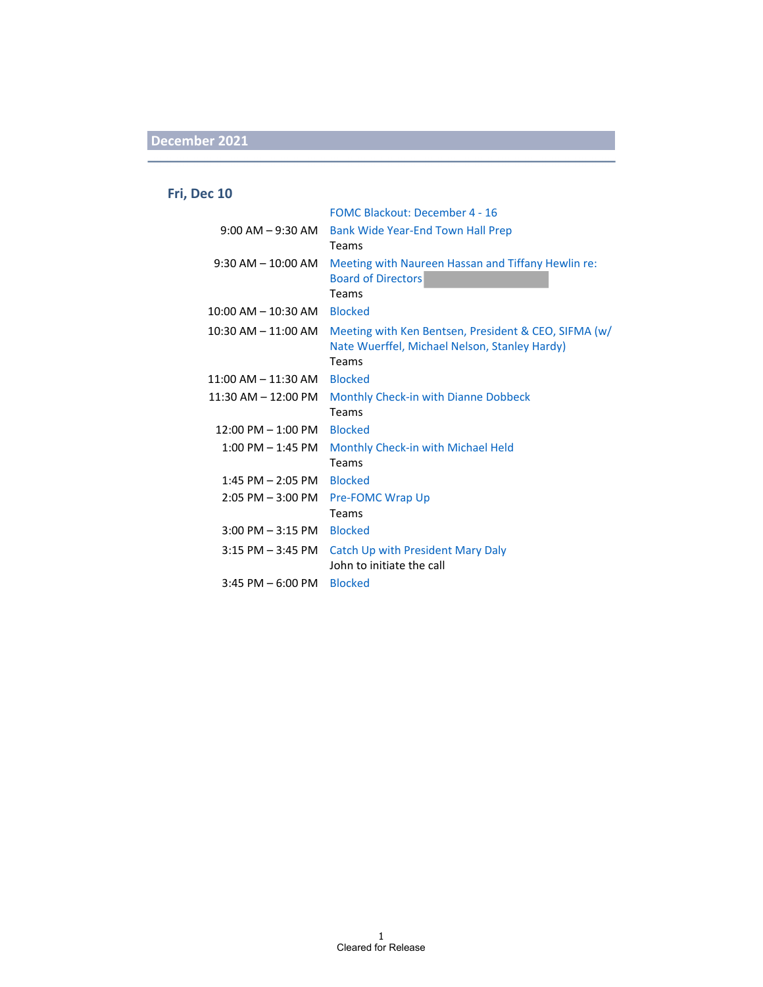### **Fri, Dec 10**

|                         | <b>FOMC Blackout: December 4 - 16</b>                |
|-------------------------|------------------------------------------------------|
| $9:00$ AM $-9:30$ AM    | Bank Wide Year-End Town Hall Prep                    |
|                         | <b>Teams</b>                                         |
| $9:30$ AM $- 10:00$ AM  | Meeting with Naureen Hassan and Tiffany Hewlin re:   |
|                         | <b>Board of Directors</b>                            |
|                         | Teams                                                |
| $10:00$ AM $- 10:30$ AM | <b>Blocked</b>                                       |
| $10:30$ AM $- 11:00$ AM | Meeting with Ken Bentsen, President & CEO, SIFMA (w/ |
|                         | Nate Wuerffel, Michael Nelson, Stanley Hardy)        |
|                         | <b>Teams</b>                                         |
| $11:00$ AM $-11:30$ AM  | <b>Blocked</b>                                       |
| 11:30 AM - 12:00 PM     | <b>Monthly Check-in with Dianne Dobbeck</b>          |
|                         | <b>Teams</b>                                         |
| $12:00$ PM $- 1:00$ PM  | <b>Blocked</b>                                       |
| $1:00$ PM $-1:45$ PM    | Monthly Check-in with Michael Held                   |
|                         | Teams                                                |
| $1:45$ PM $- 2:05$ PM   | <b>Blocked</b>                                       |
| $2:05$ PM $-3:00$ PM    | <b>Pre-FOMC Wrap Up</b>                              |
|                         | <b>Teams</b>                                         |
| $3:00$ PM $-3:15$ PM    | <b>Blocked</b>                                       |
| $3:15$ PM $-3:45$ PM    | Catch Up with President Mary Daly                    |
|                         | John to initiate the call                            |
| $3:45$ PM $-6:00$ PM    | <b>Blocked</b>                                       |
|                         |                                                      |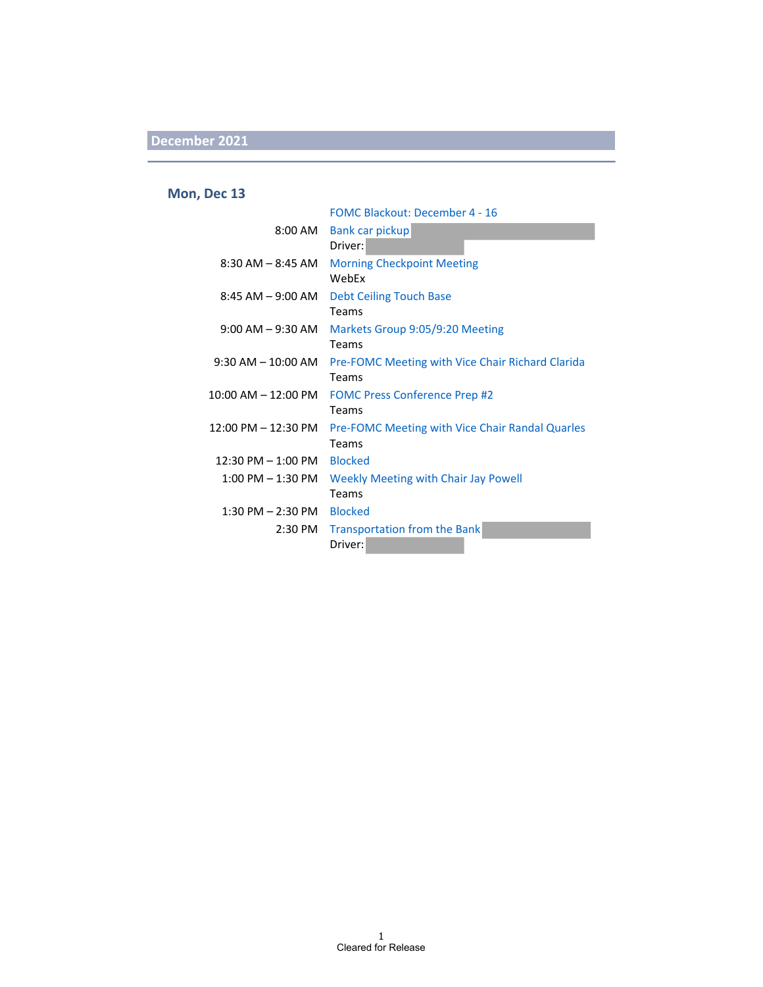#### **Mon, Dec 13**

|                        | <b>FOMC Blackout: December 4 - 16</b>                   |  |
|------------------------|---------------------------------------------------------|--|
| 8:00 AM                | Bank car pickup                                         |  |
|                        | Driver:                                                 |  |
| $8:30$ AM $-8:45$ AM   | <b>Morning Checkpoint Meeting</b>                       |  |
|                        | WebEx                                                   |  |
| 8:45 AM – 9:00 AM      | Debt Ceiling Touch Base                                 |  |
|                        | Teams                                                   |  |
| $9:00$ AM $-9:30$ AM   | Markets Group 9:05/9:20 Meeting                         |  |
|                        | Teams                                                   |  |
| $9:30$ AM $-$ 10:00 AM | <b>Pre-FOMC Meeting with Vice Chair Richard Clarida</b> |  |
|                        | Teams                                                   |  |
|                        | 10:00 AM - 12:00 PM FOMC Press Conference Prep #2       |  |
|                        | Teams                                                   |  |
| 12:00 PM – 12:30 PM    | Pre-FOMC Meeting with Vice Chair Randal Quarles         |  |
|                        | Teams                                                   |  |
| $12:30$ PM $- 1:00$ PM | <b>Blocked</b>                                          |  |
| $1:00$ PM $-1:30$ PM   | <b>Weekly Meeting with Chair Jay Powell</b>             |  |
|                        | Teams                                                   |  |
| 1:30 PM – 2:30 PM      | <b>Blocked</b>                                          |  |
| 2:30 PM                | <b>Transportation from the Bank</b>                     |  |
|                        | Driver:                                                 |  |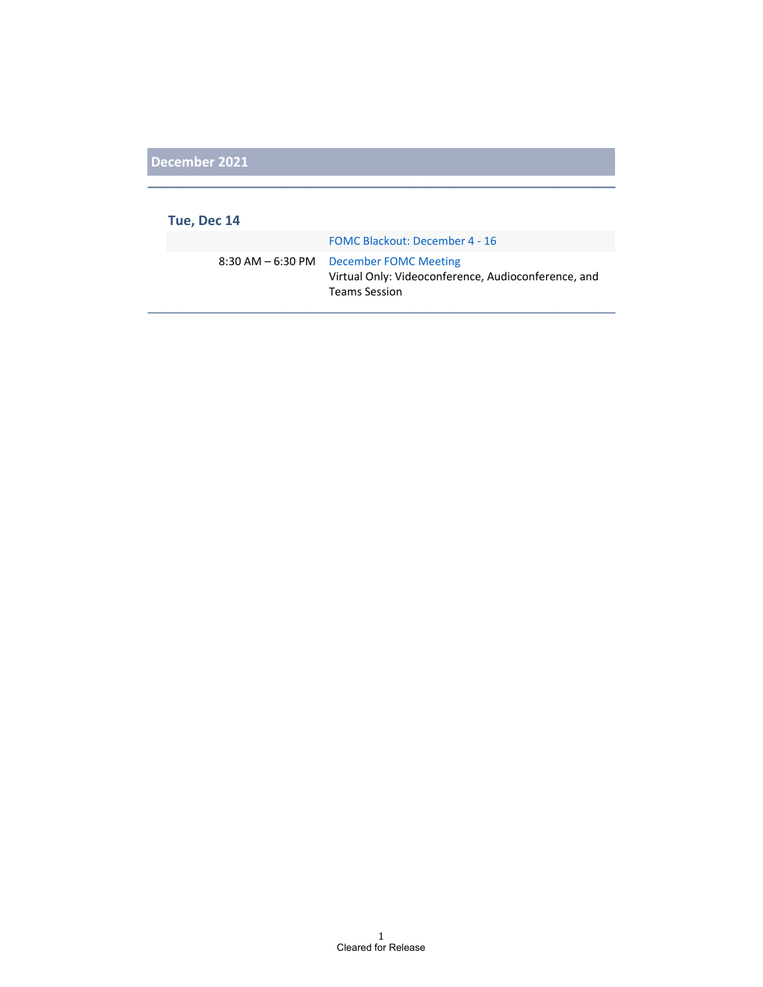#### **Tue, Dec 14**

FOMC Blackout: December 4 ‐ 16

8:30 AM – 6:30 PM December FOMC Meeting Virtual Only: Videoconference, Audioconference, and Teams Session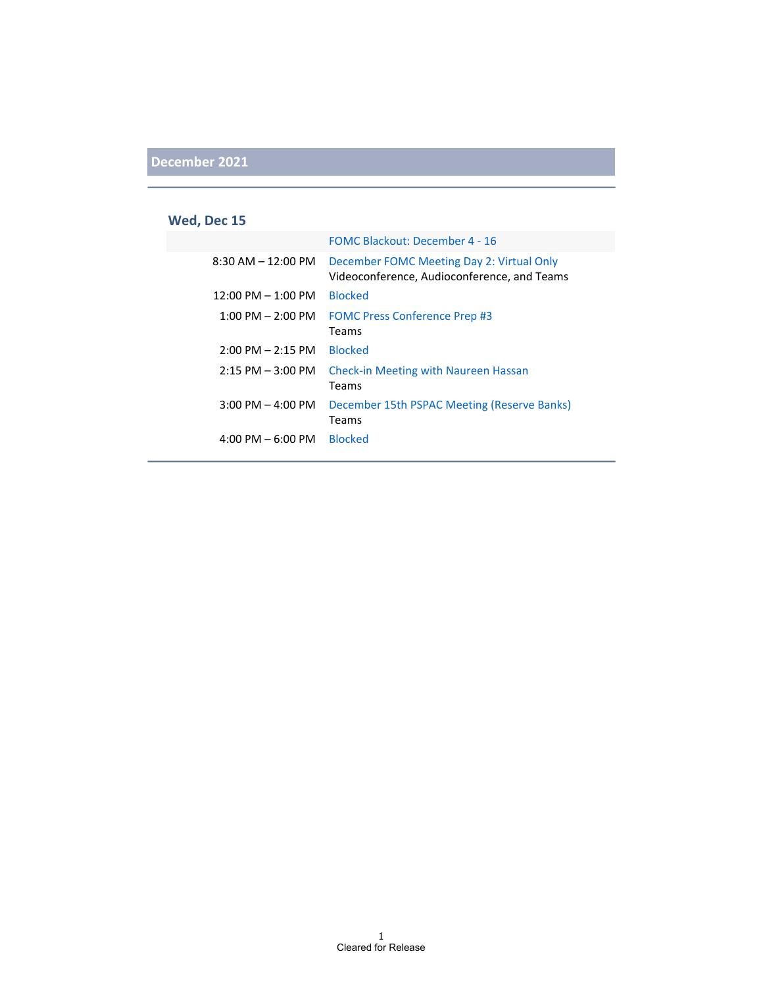### **Wed, Dec 15**

|                                     | FOMC Blackout: December 4 - 16                                                           |
|-------------------------------------|------------------------------------------------------------------------------------------|
| $8:30$ AM $-12:00$ PM               | December FOMC Meeting Day 2: Virtual Only<br>Videoconference, Audioconference, and Teams |
| $12:00$ PM $-1:00$ PM               | <b>Blocked</b>                                                                           |
| $1:00$ PM $- 2:00$ PM               | <b>FOMC Press Conference Prep #3</b><br>Teams                                            |
| $2:00$ PM $- 2:15$ PM               | <b>Blocked</b>                                                                           |
| $2:15$ PM $-3:00$ PM                | <b>Check-in Meeting with Naureen Hassan</b><br>Teams                                     |
| $3:00$ PM $-$ 4:00 PM               | December 15th PSPAC Meeting (Reserve Banks)<br>Teams                                     |
| $4:00 \text{ PM} - 6:00 \text{ PM}$ | <b>Blocked</b>                                                                           |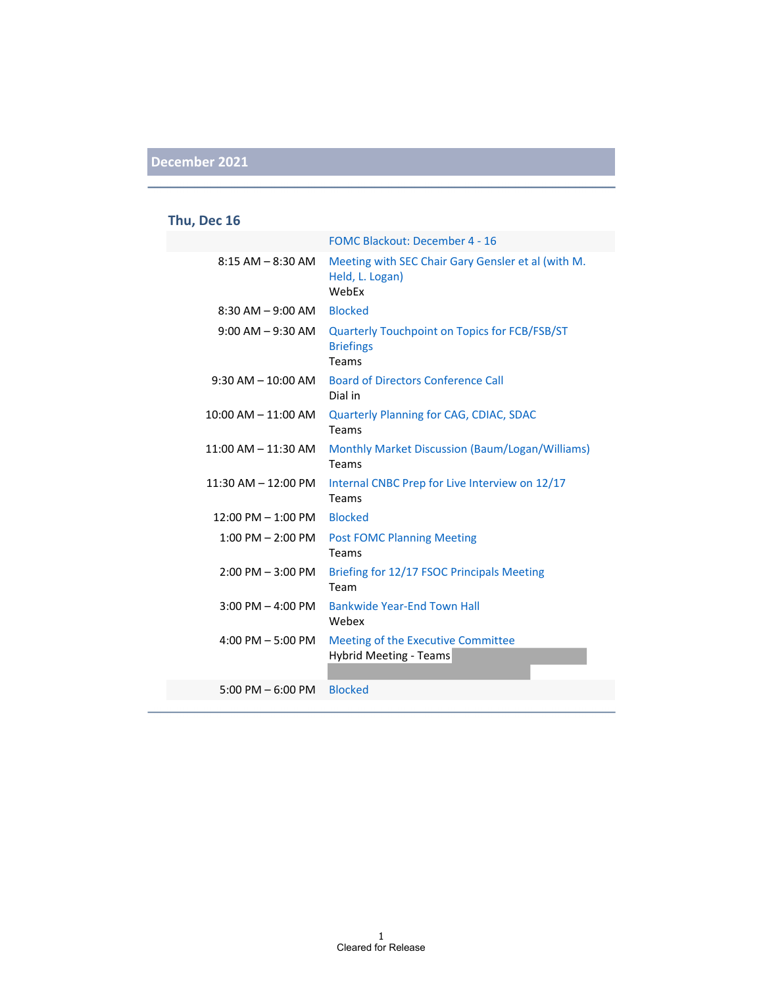### **Thu, Dec 16**

|                         | <b>FOMC Blackout: December 4 - 16</b>                                             |  |
|-------------------------|-----------------------------------------------------------------------------------|--|
| $8:15$ AM $-$ 8:30 AM   | Meeting with SEC Chair Gary Gensler et al (with M.<br>Held, L. Logan)<br>WebEx    |  |
| $8:30$ AM $-9:00$ AM    | <b>Blocked</b>                                                                    |  |
| $9:00$ AM $-9:30$ AM    | <b>Quarterly Touchpoint on Topics for FCB/FSB/ST</b><br><b>Briefings</b><br>Teams |  |
| $9:30$ AM $-10:00$ AM   | <b>Board of Directors Conference Call</b><br>Dial in                              |  |
| $10:00$ AM $- 11:00$ AM | Quarterly Planning for CAG, CDIAC, SDAC<br>Teams                                  |  |
| $11:00$ AM $-11:30$ AM  | Monthly Market Discussion (Baum/Logan/Williams)<br>Teams                          |  |
| $11:30$ AM $- 12:00$ PM | Internal CNBC Prep for Live Interview on 12/17<br>Teams                           |  |
| $12:00$ PM $- 1:00$ PM  | <b>Blocked</b>                                                                    |  |
| $1:00$ PM $- 2:00$ PM   | <b>Post FOMC Planning Meeting</b><br>Teams                                        |  |
| $2:00$ PM $-3:00$ PM    | Briefing for 12/17 FSOC Principals Meeting<br>Team                                |  |
| $3:00$ PM $-$ 4:00 PM   | Bankwide Year-End Town Hall<br>Webex                                              |  |
| 4:00 PM $-$ 5:00 PM     | Meeting of the Executive Committee<br><b>Hybrid Meeting - Teams</b>               |  |
| $5:00$ PM $-6:00$ PM    | <b>Blocked</b>                                                                    |  |
|                         |                                                                                   |  |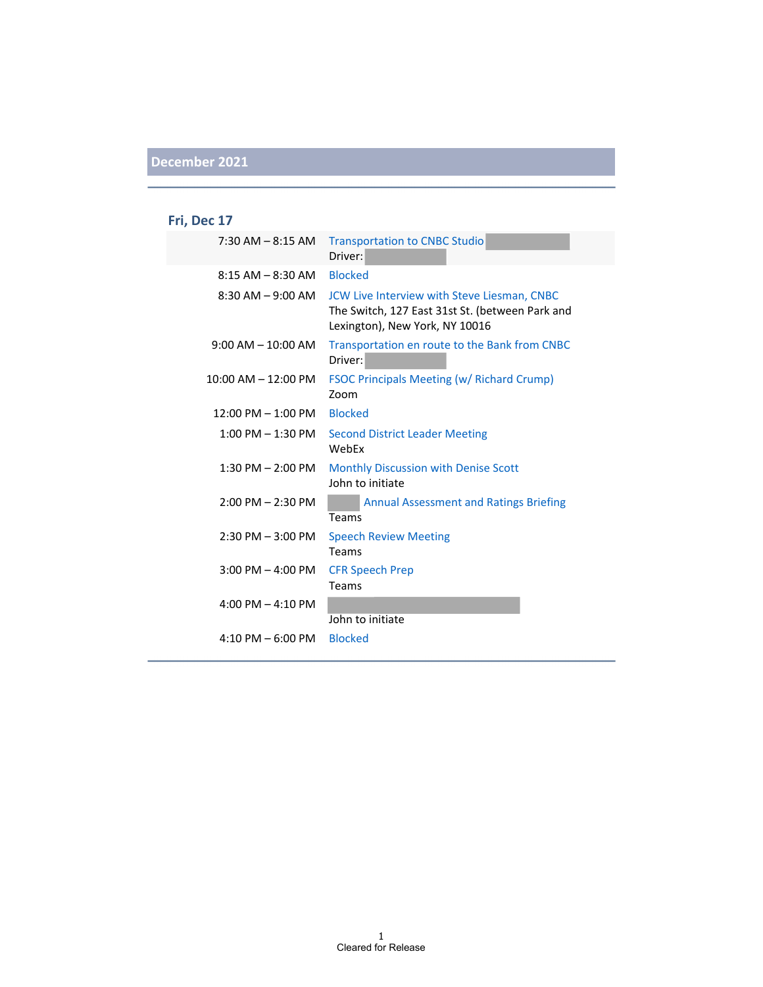### **Fri, Dec 17**

| $7:30$ AM $-$ 8:15 AM  | <b>Transportation to CNBC Studio</b><br>Driver:                                                                                  |
|------------------------|----------------------------------------------------------------------------------------------------------------------------------|
| $8:15$ AM $-$ 8:30 AM  | <b>Blocked</b>                                                                                                                   |
| $8:30$ AM $-9:00$ AM   | JCW Live Interview with Steve Liesman, CNBC<br>The Switch, 127 East 31st St. (between Park and<br>Lexington), New York, NY 10016 |
| $9:00$ AM $-$ 10:00 AM | Transportation en route to the Bank from CNBC<br>Driver:                                                                         |
| 10:00 AM - 12:00 PM    | <b>FSOC Principals Meeting (w/ Richard Crump)</b><br>Zoom                                                                        |
| $12:00$ PM $- 1:00$ PM | <b>Blocked</b>                                                                                                                   |
| $1:00$ PM $-1:30$ PM   | <b>Second District Leader Meeting</b><br>WebEx                                                                                   |
| $1:30$ PM $- 2:00$ PM  | Monthly Discussion with Denise Scott<br>John to initiate                                                                         |
| $2:00$ PM $- 2:30$ PM  | <b>Annual Assessment and Ratings Briefing</b><br>Teams                                                                           |
| $2:30$ PM $-3:00$ PM   | <b>Speech Review Meeting</b><br><b>Teams</b>                                                                                     |
| $3:00$ PM $-$ 4:00 PM  | <b>CFR Speech Prep</b><br>Teams                                                                                                  |
| 4:00 PM $-$ 4:10 PM    | John to initiate                                                                                                                 |
| $4:10$ PM $-6:00$ PM   | <b>Blocked</b>                                                                                                                   |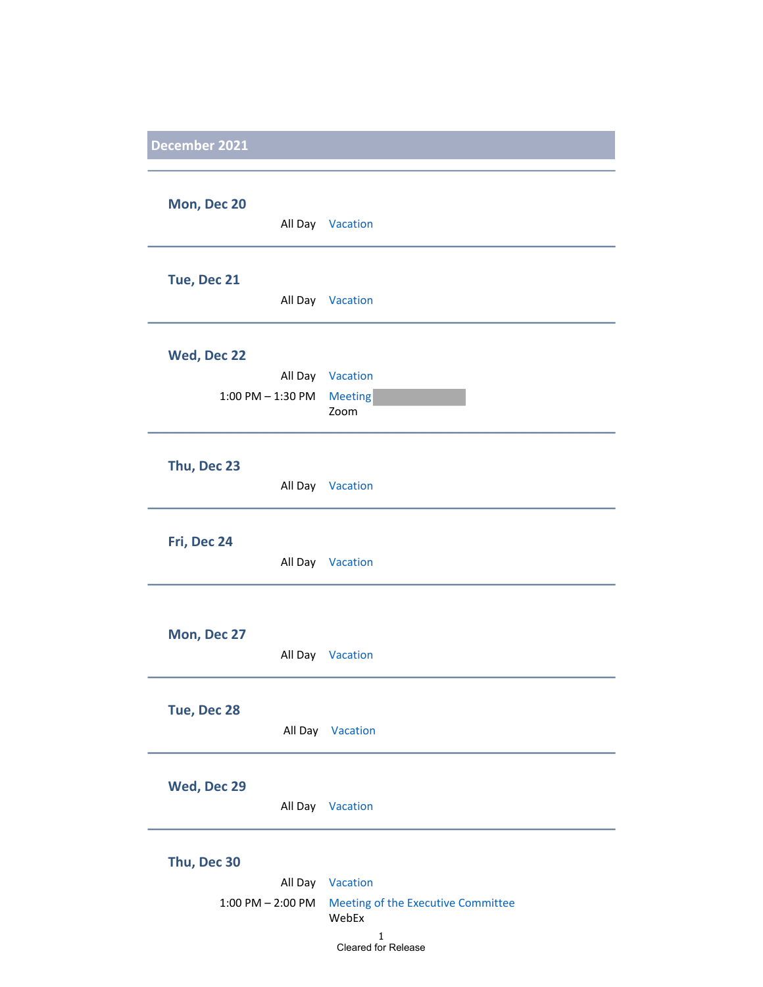| Mon, Dec 20           |                                             |
|-----------------------|---------------------------------------------|
|                       | All Day Vacation                            |
|                       |                                             |
| Tue, Dec 21           |                                             |
|                       | All Day Vacation                            |
| Wed, Dec 22           |                                             |
|                       | All Day Vacation                            |
| 1:00 PM - 1:30 PM     | <b>Meeting</b>                              |
|                       | Zoom                                        |
|                       |                                             |
| Thu, Dec 23           |                                             |
|                       | All Day Vacation                            |
|                       |                                             |
| Fri, Dec 24           |                                             |
|                       | All Day Vacation                            |
|                       |                                             |
|                       |                                             |
| Mon, Dec 27           |                                             |
|                       | All Day Vacation                            |
|                       |                                             |
| Tue, Dec 28           |                                             |
|                       | All Day Vacation                            |
|                       |                                             |
| Wed, Dec 29           |                                             |
|                       | All Day Vacation                            |
|                       |                                             |
| Thu, Dec 30           |                                             |
| All Day               | Vacation                                    |
| $1:00$ PM $- 2:00$ PM | Meeting of the Executive Committee<br>WebEx |
|                       | 1                                           |

Cleared for Release